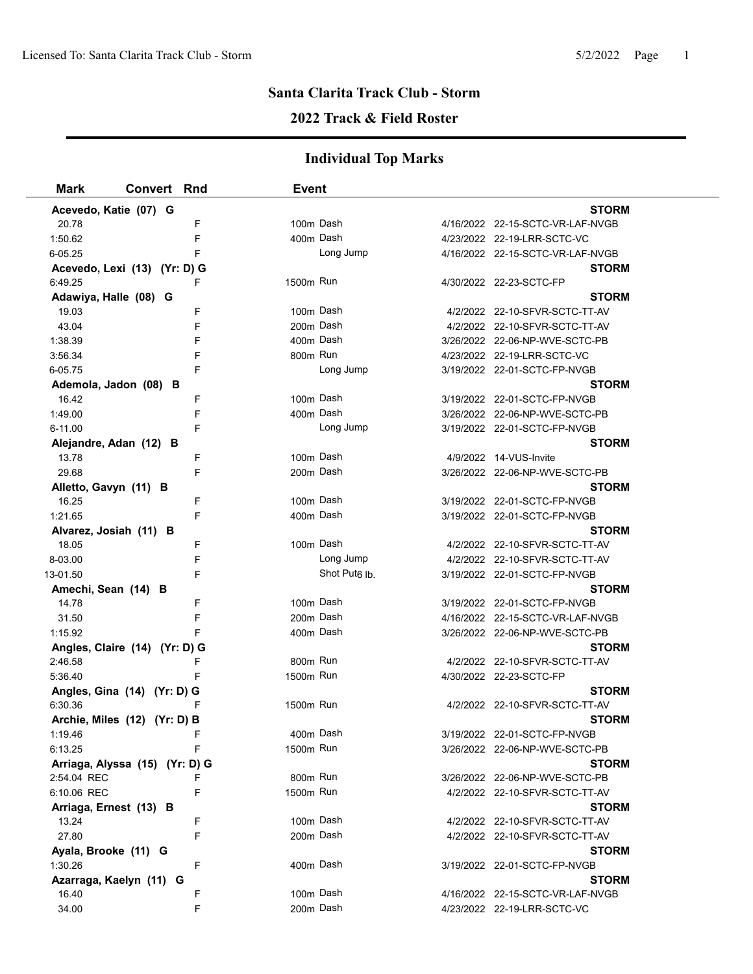### **2022 Track & Field Roster**

| <b>Mark</b>                    | <b>Convert Rnd</b> |   | <b>Event</b> |                           |                                                |  |
|--------------------------------|--------------------|---|--------------|---------------------------|------------------------------------------------|--|
| Acevedo, Katie (07) G          |                    |   |              |                           | <b>STORM</b>                                   |  |
| 20.78                          |                    | F | 100m Dash    |                           | 4/16/2022 22-15-SCTC-VR-LAF-NVGB               |  |
| 1:50.62                        |                    | F | 400m Dash    |                           | 4/23/2022 22-19-LRR-SCTC-VC                    |  |
| 6-05.25                        |                    | F |              | Long Jump                 | 4/16/2022 22-15-SCTC-VR-LAF-NVGB               |  |
| Acevedo, Lexi (13) (Yr: D) G   |                    |   |              |                           | <b>STORM</b>                                   |  |
| 6:49.25                        |                    | F | 1500m Run    |                           | 4/30/2022 22-23-SCTC-FP                        |  |
| Adawiya, Halle (08) G          |                    |   |              |                           | STORM                                          |  |
| 19.03                          |                    | F | 100m Dash    |                           | 4/2/2022 22-10-SFVR-SCTC-TT-AV                 |  |
| 43.04                          |                    | F | 200m Dash    |                           | 4/2/2022 22-10-SFVR-SCTC-TT-AV                 |  |
| 1:38.39                        |                    | F | 400m Dash    |                           | 3/26/2022 22-06-NP-WVE-SCTC-PB                 |  |
| 3:56.34                        |                    | F | 800m Run     |                           | 4/23/2022 22-19-LRR-SCTC-VC                    |  |
| 6-05.75                        |                    | F |              | Long Jump                 | 3/19/2022 22-01-SCTC-FP-NVGB                   |  |
| Ademola, Jadon (08) B          |                    |   |              |                           | STORM                                          |  |
| 16.42                          |                    | F | 100m Dash    |                           | 3/19/2022 22-01-SCTC-FP-NVGB                   |  |
| 1:49.00                        |                    | F | 400m Dash    |                           | 3/26/2022 22-06-NP-WVE-SCTC-PB                 |  |
| 6-11.00                        |                    | F |              | Long Jump                 | 3/19/2022 22-01-SCTC-FP-NVGB                   |  |
| Alejandre, Adan (12) B         |                    |   |              |                           | <b>STORM</b>                                   |  |
| 13.78                          |                    | F | 100m Dash    |                           | 4/9/2022 14-VUS-Invite                         |  |
| 29.68                          |                    | F | 200m Dash    |                           | 3/26/2022 22-06-NP-WVE-SCTC-PB                 |  |
| Alletto, Gavyn (11) B          |                    |   |              |                           | <b>STORM</b>                                   |  |
| 16.25                          |                    | F | 100m Dash    |                           | 3/19/2022 22-01-SCTC-FP-NVGB                   |  |
| 1:21.65                        |                    | F | 400m Dash    |                           | 3/19/2022 22-01-SCTC-FP-NVGB                   |  |
| Alvarez, Josiah (11) B         |                    |   |              |                           | <b>STORM</b>                                   |  |
| 18.05                          |                    | F | 100m Dash    |                           | 4/2/2022 22-10-SFVR-SCTC-TT-AV                 |  |
| 8-03.00                        |                    | F |              | Long Jump                 | 4/2/2022 22-10-SFVR-SCTC-TT-AV                 |  |
| 13-01.50                       |                    | F |              | Shot Put <sub>6</sub> lb. | 3/19/2022 22-01-SCTC-FP-NVGB                   |  |
| Amechi, Sean (14) B            |                    |   |              |                           | <b>STORM</b>                                   |  |
| 14.78                          |                    | F | 100m Dash    |                           | 3/19/2022 22-01-SCTC-FP-NVGB                   |  |
| 31.50                          |                    | F | 200m Dash    |                           | 4/16/2022 22-15-SCTC-VR-LAF-NVGB               |  |
| 1:15.92                        |                    | F | 400m Dash    |                           | 3/26/2022 22-06-NP-WVE-SCTC-PB                 |  |
| Angles, Claire (14) (Yr: D) G  |                    |   |              |                           | <b>STORM</b>                                   |  |
| 2:46.58                        |                    | F | 800m Run     |                           | 4/2/2022 22-10-SFVR-SCTC-TT-AV                 |  |
| 5:36.40                        |                    | F | 1500m Run    |                           | 4/30/2022 22-23-SCTC-FP                        |  |
| Angles, Gina (14) (Yr: D) G    |                    |   |              |                           | <b>STORM</b>                                   |  |
| 6:30.36                        |                    |   | 1500m Run    |                           | 4/2/2022 22-10-SFVR-SCTC-TT-AV<br><b>STORM</b> |  |
| Archie, Miles (12) (Yr: D) B   |                    |   | 400m Dash    |                           | 3/19/2022 22-01-SCTC-FP-NVGB                   |  |
| 1:19.46<br>6:13.25             |                    | F | 1500m Run    |                           | 3/26/2022 22-06-NP-WVE-SCTC-PB                 |  |
| Arriaga, Alyssa (15) (Yr: D) G |                    |   |              |                           | <b>STORM</b>                                   |  |
| 2:54.04 REC                    |                    | F | 800m Run     |                           | 3/26/2022 22-06-NP-WVE-SCTC-PB                 |  |
| 6:10.06 REC                    |                    | F | 1500m Run    |                           | 4/2/2022 22-10-SFVR-SCTC-TT-AV                 |  |
| Arriaga, Ernest (13) B         |                    |   |              |                           | <b>STORM</b>                                   |  |
| 13.24                          |                    | F | 100m Dash    |                           | 4/2/2022 22-10-SFVR-SCTC-TT-AV                 |  |
| 27.80                          |                    | F | 200m Dash    |                           | 4/2/2022 22-10-SFVR-SCTC-TT-AV                 |  |
| Ayala, Brooke (11) G           |                    |   |              |                           | <b>STORM</b>                                   |  |
| 1:30.26                        |                    | F | 400m Dash    |                           | 3/19/2022 22-01-SCTC-FP-NVGB                   |  |
| Azarraga, Kaelyn (11) G        |                    |   |              |                           | STORM                                          |  |
| 16.40                          |                    | F | 100m Dash    |                           | 4/16/2022 22-15-SCTC-VR-LAF-NVGB               |  |
| 34.00                          |                    | F | 200m Dash    |                           | 4/23/2022 22-19-LRR-SCTC-VC                    |  |
|                                |                    |   |              |                           |                                                |  |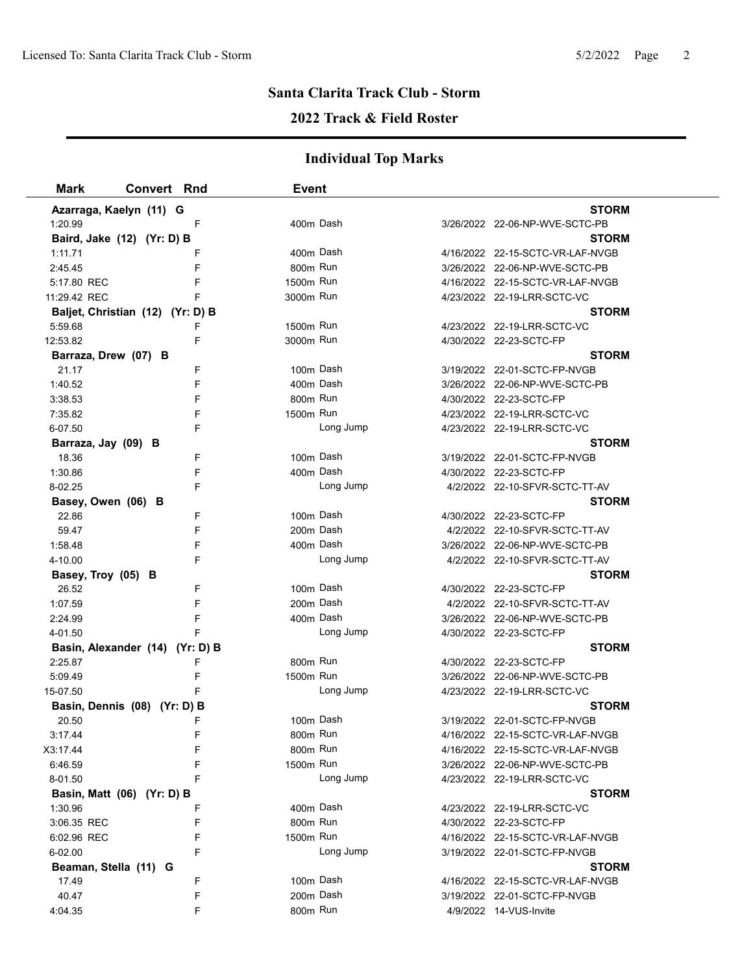# **2022 Track & Field Roster**

| <b>Mark</b>                      | <b>Convert Rnd</b> |        | <b>Event</b>         |           |                                  |  |
|----------------------------------|--------------------|--------|----------------------|-----------|----------------------------------|--|
| Azarraga, Kaelyn (11) G          |                    |        |                      |           | <b>STORM</b>                     |  |
| 1:20.99                          |                    | F      | 400m Dash            |           | 3/26/2022 22-06-NP-WVE-SCTC-PB   |  |
| Baird, Jake (12) (Yr: D) B       |                    |        |                      |           | <b>STORM</b>                     |  |
| 1:11.71                          |                    | F      | 400m Dash            |           | 4/16/2022 22-15-SCTC-VR-LAF-NVGB |  |
| 2:45.45                          |                    | F      | 800m Run             |           | 3/26/2022 22-06-NP-WVE-SCTC-PB   |  |
| 5:17.80 REC                      |                    | F      | 1500m Run            |           | 4/16/2022 22-15-SCTC-VR-LAF-NVGB |  |
| 11:29.42 REC                     |                    |        | 3000m Run            |           | 4/23/2022 22-19-LRR-SCTC-VC      |  |
| Baljet, Christian (12) (Yr: D) B |                    |        |                      |           | <b>STORM</b>                     |  |
| 5:59.68                          |                    | F      | 1500m Run            |           | 4/23/2022 22-19-LRR-SCTC-VC      |  |
| 12:53.82                         |                    | F      | 3000m Run            |           | 4/30/2022 22-23-SCTC-FP          |  |
| Barraza, Drew (07) B             |                    |        |                      |           | <b>STORM</b>                     |  |
| 21.17                            |                    | F      | 100m Dash            |           | 3/19/2022 22-01-SCTC-FP-NVGB     |  |
| 1:40.52                          |                    | F      | 400m Dash            |           | 3/26/2022 22-06-NP-WVE-SCTC-PB   |  |
| 3:38.53                          |                    | F      | 800m Run             |           | 4/30/2022 22-23-SCTC-FP          |  |
| 7:35.82                          |                    | F      | 1500m Run            |           | 4/23/2022 22-19-LRR-SCTC-VC      |  |
| 6-07.50                          |                    | F      |                      | Long Jump | 4/23/2022 22-19-LRR-SCTC-VC      |  |
| Barraza, Jay (09) B              |                    |        |                      |           | <b>STORM</b>                     |  |
| 18.36                            |                    | F      | 100m Dash            |           | 3/19/2022 22-01-SCTC-FP-NVGB     |  |
| 1:30.86                          |                    | F      | 400m Dash            |           | 4/30/2022 22-23-SCTC-FP          |  |
| 8-02.25                          |                    | F      |                      | Long Jump | 4/2/2022 22-10-SFVR-SCTC-TT-AV   |  |
| Basey, Owen (06) B               |                    |        |                      |           | <b>STORM</b>                     |  |
| 22.86                            |                    | F      | 100m Dash            |           | 4/30/2022 22-23-SCTC-FP          |  |
| 59.47                            |                    | F      | 200m Dash            |           | 4/2/2022 22-10-SFVR-SCTC-TT-AV   |  |
| 1:58.48                          |                    | F      | 400m Dash            |           | 3/26/2022 22-06-NP-WVE-SCTC-PB   |  |
| 4-10.00                          |                    | F      |                      | Long Jump | 4/2/2022 22-10-SFVR-SCTC-TT-AV   |  |
| Basey, Troy (05) B               |                    |        |                      |           | <b>STORM</b>                     |  |
| 26.52                            |                    | F      | 100m Dash            |           | 4/30/2022 22-23-SCTC-FP          |  |
| 1:07.59                          |                    | F      | 200m Dash            |           | 4/2/2022 22-10-SFVR-SCTC-TT-AV   |  |
| 2:24.99                          |                    | F      | 400m Dash            |           | 3/26/2022 22-06-NP-WVE-SCTC-PB   |  |
| 4-01.50                          |                    |        |                      | Long Jump | 4/30/2022 22-23-SCTC-FP          |  |
| Basin, Alexander (14) (Yr: D) B  |                    |        |                      |           | <b>STORM</b>                     |  |
| 2:25.87                          |                    | F      | 800m Run             |           | 4/30/2022 22-23-SCTC-FP          |  |
| 5:09.49                          |                    | F      | 1500m Run            |           | 3/26/2022 22-06-NP-WVE-SCTC-PB   |  |
| 15-07.50                         |                    | F      |                      | Long Jump | 4/23/2022 22-19-LRR-SCTC-VC      |  |
| Basin, Dennis (08) (Yr: D) B     |                    |        |                      |           | <b>STORM</b>                     |  |
| 20.50                            |                    | F      | 100m Dash            |           | 3/19/2022 22-01-SCTC-FP-NVGB     |  |
| 3:17.44                          |                    | F      | 800m Run             |           | 4/16/2022 22-15-SCTC-VR-LAF-NVGB |  |
| X3:17.44                         |                    | F      | 800 <sub>m</sub> Run |           | 4/16/2022 22-15-SCTC-VR-LAF-NVGB |  |
| 6:46.59                          |                    | F      | 1500m Run            |           | 3/26/2022 22-06-NP-WVE-SCTC-PB   |  |
| 8-01.50                          |                    | F      |                      | Long Jump | 4/23/2022 22-19-LRR-SCTC-VC      |  |
| Basin, Matt (06) (Yr: D) B       |                    |        |                      |           | <b>STORM</b>                     |  |
| 1:30.96                          |                    | F      | 400m Dash            |           | 4/23/2022 22-19-LRR-SCTC-VC      |  |
| 3:06.35 REC                      |                    | F      | 800m Run             |           | 4/30/2022 22-23-SCTC-FP          |  |
| 6:02.96 REC                      |                    | F      | 1500m Run            | Long Jump | 4/16/2022 22-15-SCTC-VR-LAF-NVGB |  |
| 6-02.00                          |                    | F      |                      |           | 3/19/2022 22-01-SCTC-FP-NVGB     |  |
| Beaman, Stella (11) G            |                    |        | 100m Dash            |           | <b>STORM</b>                     |  |
| 17.49                            |                    | F      | 200m Dash            |           | 4/16/2022 22-15-SCTC-VR-LAF-NVGB |  |
| 40.47                            |                    | F<br>F | 800m Run             |           | 3/19/2022 22-01-SCTC-FP-NVGB     |  |
| 4:04.35                          |                    |        |                      |           | 4/9/2022 14-VUS-Invite           |  |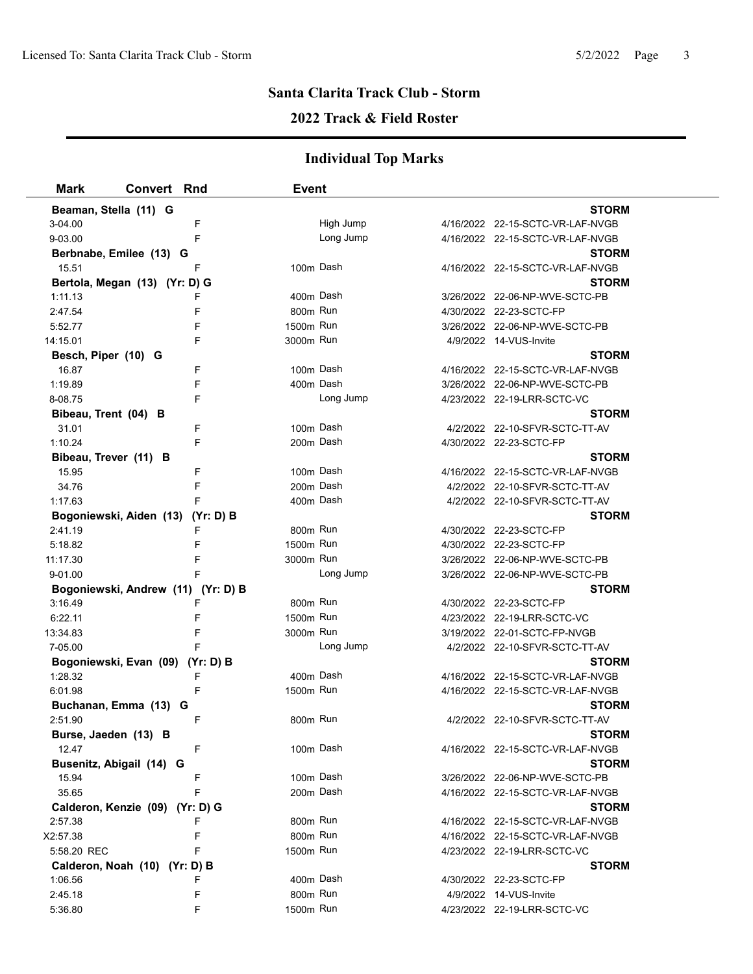### **2022 Track & Field Roster**

| <b>Mark</b>           | <b>Convert Rnd</b>                 |   | <b>Event</b> |           |                                  |  |
|-----------------------|------------------------------------|---|--------------|-----------|----------------------------------|--|
|                       | Beaman, Stella (11) G              |   |              |           | <b>STORM</b>                     |  |
| 3-04.00               |                                    | F |              | High Jump | 4/16/2022 22-15-SCTC-VR-LAF-NVGB |  |
| 9-03.00               |                                    | F |              | Long Jump | 4/16/2022 22-15-SCTC-VR-LAF-NVGB |  |
|                       | Berbnabe, Emilee (13) G            |   |              |           | <b>STORM</b>                     |  |
| 15.51                 |                                    | F | 100m Dash    |           | 4/16/2022 22-15-SCTC-VR-LAF-NVGB |  |
|                       | Bertola, Megan (13) (Yr: D) G      |   |              |           | <b>STORM</b>                     |  |
| 1:11.13               |                                    | F | 400m Dash    |           | 3/26/2022 22-06-NP-WVE-SCTC-PB   |  |
| 2:47.54               |                                    | F | 800m Run     |           | 4/30/2022 22-23-SCTC-FP          |  |
| 5:52.77               |                                    |   | 1500m Run    |           | 3/26/2022 22-06-NP-WVE-SCTC-PB   |  |
| 14:15.01              |                                    |   | 3000m Run    |           | 4/9/2022 14-VUS-Invite           |  |
| Besch, Piper (10) G   |                                    |   |              |           | <b>STORM</b>                     |  |
| 16.87                 |                                    | F | 100m Dash    |           | 4/16/2022 22-15-SCTC-VR-LAF-NVGB |  |
| 1:19.89               |                                    | F | 400m Dash    |           | 3/26/2022 22-06-NP-WVE-SCTC-PB   |  |
| 8-08.75               |                                    | F |              | Long Jump | 4/23/2022 22-19-LRR-SCTC-VC      |  |
| Bibeau, Trent (04) B  |                                    |   |              |           | <b>STORM</b>                     |  |
| 31.01                 |                                    | F | 100m Dash    |           | 4/2/2022 22-10-SFVR-SCTC-TT-AV   |  |
| 1:10.24               |                                    | F |              | 200m Dash | 4/30/2022 22-23-SCTC-FP          |  |
| Bibeau, Trever (11) B |                                    |   |              |           | <b>STORM</b>                     |  |
| 15.95                 |                                    | F | 100m Dash    |           | 4/16/2022 22-15-SCTC-VR-LAF-NVGB |  |
| 34.76                 |                                    | F | 200m Dash    |           | 4/2/2022 22-10-SFVR-SCTC-TT-AV   |  |
| 1:17.63               |                                    | F | 400m Dash    |           | 4/2/2022 22-10-SFVR-SCTC-TT-AV   |  |
|                       | Bogoniewski, Aiden (13) (Yr: D) B  |   |              |           | <b>STORM</b>                     |  |
| 2:41.19               |                                    | F | 800m Run     |           | 4/30/2022 22-23-SCTC-FP          |  |
| 5:18.82               |                                    | F | 1500m Run    |           | 4/30/2022 22-23-SCTC-FP          |  |
| 11:17.30              |                                    | F | 3000m Run    |           | 3/26/2022 22-06-NP-WVE-SCTC-PB   |  |
| 9-01.00               |                                    |   |              | Long Jump | 3/26/2022 22-06-NP-WVE-SCTC-PB   |  |
|                       | Bogoniewski, Andrew (11) (Yr: D) B |   |              |           | <b>STORM</b>                     |  |
| 3:16.49               |                                    |   | 800m Run     |           | 4/30/2022 22-23-SCTC-FP          |  |
| 6:22.11               |                                    | F | 1500m Run    |           | 4/23/2022 22-19-LRR-SCTC-VC      |  |
| 13:34.83              |                                    | F | 3000m Run    |           | 3/19/2022 22-01-SCTC-FP-NVGB     |  |
| 7-05.00               |                                    |   |              | Long Jump | 4/2/2022 22-10-SFVR-SCTC-TT-AV   |  |
|                       | Bogoniewski, Evan (09) (Yr: D) B   |   |              |           | <b>STORM</b>                     |  |
| 1:28.32               |                                    | F | 400m Dash    |           | 4/16/2022 22-15-SCTC-VR-LAF-NVGB |  |
| 6:01.98               |                                    | F | 1500m Run    |           | 4/16/2022 22-15-SCTC-VR-LAF-NVGB |  |
|                       | Buchanan, Emma (13) G              |   |              |           | <b>STORM</b>                     |  |
| 2:51.90               |                                    | F | 800m Run     |           | 4/2/2022 22-10-SFVR-SCTC-TT-AV   |  |
| Burse, Jaeden (13) B  |                                    |   |              |           | <b>STORM</b>                     |  |
| 12.47                 |                                    | F | 100m Dash    |           | 4/16/2022 22-15-SCTC-VR-LAF-NVGB |  |
|                       | Busenitz, Abigail (14) G           |   |              |           | <b>STORM</b>                     |  |
| 15.94                 |                                    | F | 100m Dash    |           | 3/26/2022 22-06-NP-WVE-SCTC-PB   |  |
| 35.65                 |                                    | F | 200m Dash    |           | 4/16/2022 22-15-SCTC-VR-LAF-NVGB |  |
|                       | Calderon, Kenzie (09) (Yr: D) G    |   |              |           | <b>STORM</b>                     |  |
| 2:57.38               |                                    | F | 800m Run     |           | 4/16/2022 22-15-SCTC-VR-LAF-NVGB |  |
| X2:57.38              |                                    | F | 800m Run     |           | 4/16/2022 22-15-SCTC-VR-LAF-NVGB |  |
| 5:58.20 REC           |                                    | F | 1500m Run    |           | 4/23/2022 22-19-LRR-SCTC-VC      |  |
|                       | Calderon, Noah (10) (Yr: D) B      |   |              |           | <b>STORM</b>                     |  |
| 1:06.56               |                                    | F | 400m Dash    |           | 4/30/2022 22-23-SCTC-FP          |  |
| 2:45.18               |                                    | F | 800m Run     |           | 4/9/2022 14-VUS-Invite           |  |
| 5:36.80               |                                    | F | 1500m Run    |           | 4/23/2022 22-19-LRR-SCTC-VC      |  |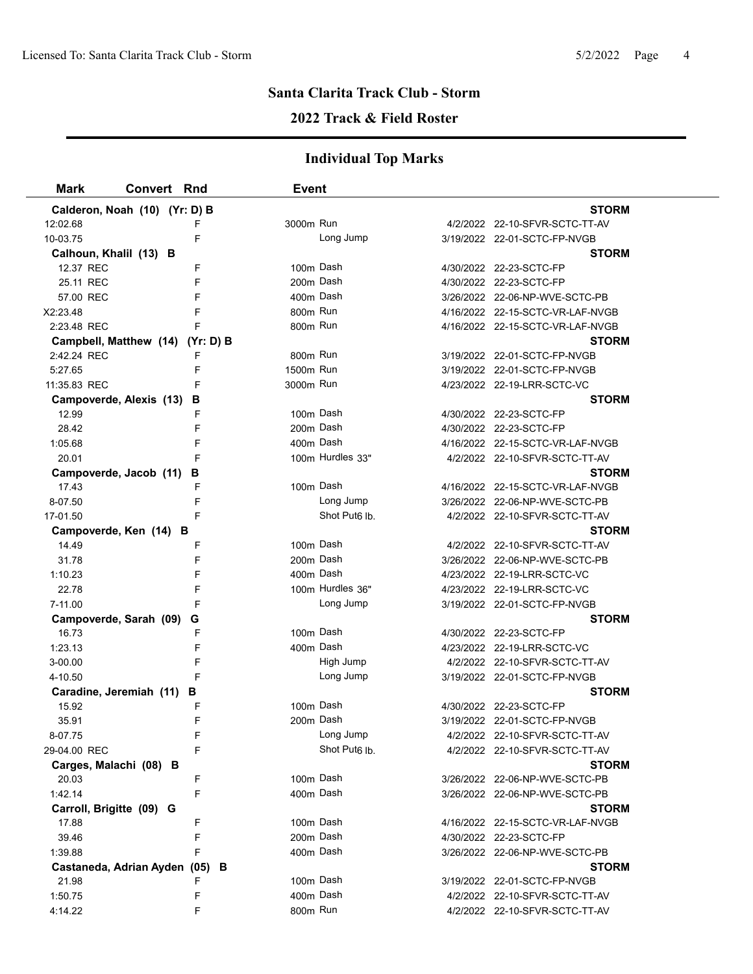### **2022 Track & Field Roster**

| <b>Mark</b>              | <b>Convert Rnd</b>               | <b>Event</b> |                           |                                                           |  |
|--------------------------|----------------------------------|--------------|---------------------------|-----------------------------------------------------------|--|
|                          | Calderon, Noah (10) (Yr: D) B    |              |                           | <b>STORM</b>                                              |  |
| 12:02.68                 |                                  | 3000m Run    |                           | 4/2/2022 22-10-SFVR-SCTC-TT-AV                            |  |
| 10-03.75                 | F                                |              | Long Jump                 | 3/19/2022 22-01-SCTC-FP-NVGB                              |  |
| Calhoun, Khalil (13) B   |                                  |              |                           | <b>STORM</b>                                              |  |
| 12.37 REC                | F                                | 100m Dash    |                           | 4/30/2022 22-23-SCTC-FP                                   |  |
| 25.11 REC                | F                                | 200m Dash    |                           | 4/30/2022 22-23-SCTC-FP                                   |  |
| 57.00 REC                | F                                | 400m Dash    |                           | 3/26/2022 22-06-NP-WVE-SCTC-PB                            |  |
| X2:23.48                 | F                                | 800m Run     |                           | 4/16/2022 22-15-SCTC-VR-LAF-NVGB                          |  |
| 2:23.48 REC              | F                                | 800m Run     |                           | 4/16/2022 22-15-SCTC-VR-LAF-NVGB                          |  |
|                          | Campbell, Matthew (14) (Yr: D) B |              |                           | <b>STORM</b>                                              |  |
| 2:42.24 REC              | F                                | 800m Run     |                           | 3/19/2022 22-01-SCTC-FP-NVGB                              |  |
| 5:27.65                  | F                                | 1500m Run    |                           | 3/19/2022 22-01-SCTC-FP-NVGB                              |  |
| 11:35.83 REC             | F                                | 3000m Run    |                           | 4/23/2022 22-19-LRR-SCTC-VC                               |  |
| Campoverde, Alexis (13)  | в                                |              |                           | <b>STORM</b>                                              |  |
| 12.99                    | F                                | 100m Dash    |                           | 4/30/2022 22-23-SCTC-FP                                   |  |
| 28.42                    | F                                | 200m Dash    |                           | 4/30/2022 22-23-SCTC-FP                                   |  |
| 1:05.68                  | F                                | 400m Dash    |                           | 4/16/2022 22-15-SCTC-VR-LAF-NVGB                          |  |
| 20.01                    |                                  |              | 100m Hurdles 33"          | 4/2/2022 22-10-SFVR-SCTC-TT-AV                            |  |
| Campoverde, Jacob (11)   | В                                |              |                           | <b>STORM</b>                                              |  |
| 17.43                    | F                                | 100m Dash    |                           | 4/16/2022 22-15-SCTC-VR-LAF-NVGB                          |  |
| 8-07.50                  | F                                |              | Long Jump                 | 3/26/2022 22-06-NP-WVE-SCTC-PB                            |  |
| 17-01.50                 | F                                |              | Shot Put <sub>6</sub> lb. | 4/2/2022 22-10-SFVR-SCTC-TT-AV                            |  |
| Campoverde, Ken (14) B   |                                  |              |                           | <b>STORM</b>                                              |  |
| 14.49                    | F                                | 100m Dash    |                           | 4/2/2022 22-10-SFVR-SCTC-TT-AV                            |  |
| 31.78                    | F                                | 200m Dash    |                           | 3/26/2022 22-06-NP-WVE-SCTC-PB                            |  |
| 1:10.23                  | F                                | 400m Dash    |                           | 4/23/2022 22-19-LRR-SCTC-VC                               |  |
| 22.78                    | F                                |              | 100m Hurdles 36"          | 4/23/2022 22-19-LRR-SCTC-VC                               |  |
| 7-11.00                  |                                  |              | Long Jump                 | 3/19/2022 22-01-SCTC-FP-NVGB                              |  |
|                          | Campoverde, Sarah (09) G         |              |                           | <b>STORM</b>                                              |  |
| 16.73                    | F                                | 100m Dash    |                           | 4/30/2022 22-23-SCTC-FP                                   |  |
| 1:23.13                  | F                                | 400m Dash    |                           | 4/23/2022 22-19-LRR-SCTC-VC                               |  |
| 3-00.00                  | F                                |              | High Jump                 | 4/2/2022 22-10-SFVR-SCTC-TT-AV                            |  |
| 4-10.50                  | F                                |              | Long Jump                 | 3/19/2022 22-01-SCTC-FP-NVGB                              |  |
|                          | Caradine, Jeremiah (11) B        |              |                           | <b>STORM</b>                                              |  |
| 15.92                    | F                                | 100m Dash    |                           | 4/30/2022 22-23-SCTC-FP                                   |  |
| 35.91                    | F                                | 200m Dash    |                           | 3/19/2022 22-01-SCTC-FP-NVGB                              |  |
| 8-07.75                  | F                                |              | Long Jump                 | 4/2/2022 22-10-SFVR-SCTC-TT-AV                            |  |
| 29-04.00 REC             | F                                |              | Shot Put <sub>6</sub> lb. | 4/2/2022 22-10-SFVR-SCTC-TT-AV                            |  |
| Carges, Malachi (08) B   |                                  |              |                           | <b>STORM</b>                                              |  |
| 20.03<br>1:42.14         | F                                | 100m Dash    |                           | 3/26/2022 22-06-NP-WVE-SCTC-PB                            |  |
|                          | F                                | 400m Dash    |                           | 3/26/2022 22-06-NP-WVE-SCTC-PB                            |  |
| Carroll, Brigitte (09) G |                                  | 100m Dash    |                           | <b>STORM</b>                                              |  |
| 17.88<br>39.46           | F<br>F                           | 200m Dash    |                           | 4/16/2022 22-15-SCTC-VR-LAF-NVGB                          |  |
| 1:39.88                  | F                                | 400m Dash    |                           | 4/30/2022 22-23-SCTC-FP<br>3/26/2022 22-06-NP-WVE-SCTC-PB |  |
|                          | Castaneda, Adrian Ayden (05) B   |              |                           | STORM                                                     |  |
| 21.98                    | F                                | 100m Dash    |                           | 3/19/2022 22-01-SCTC-FP-NVGB                              |  |
| 1:50.75                  | F                                | 400m Dash    |                           | 4/2/2022 22-10-SFVR-SCTC-TT-AV                            |  |
| 4:14.22                  | F                                | 800m Run     |                           | 4/2/2022 22-10-SFVR-SCTC-TT-AV                            |  |
|                          |                                  |              |                           |                                                           |  |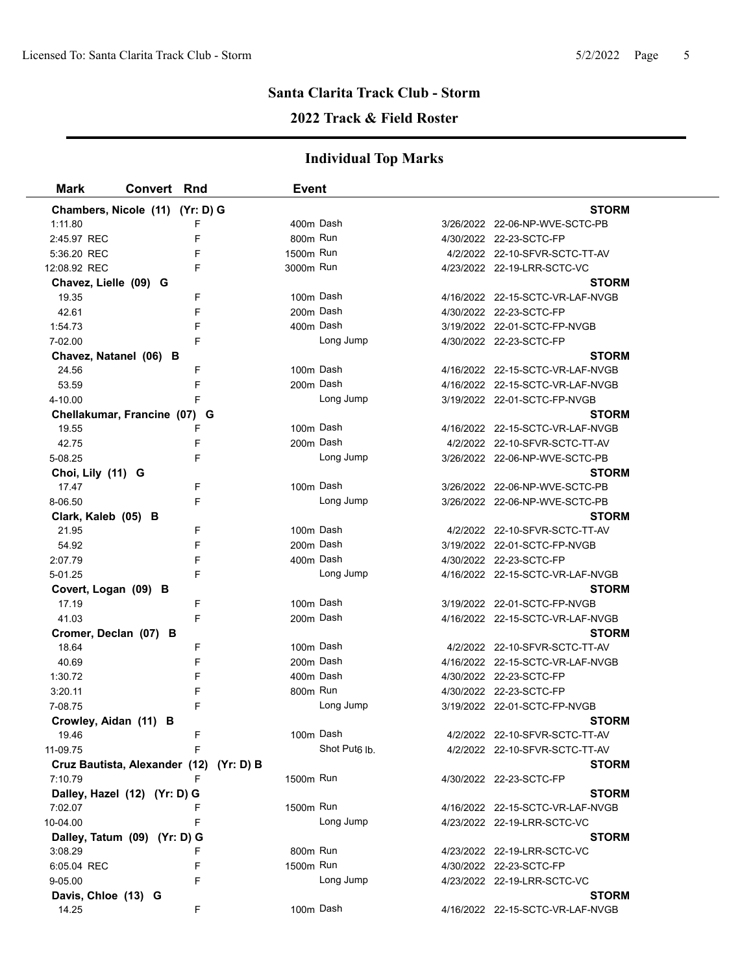### **2022 Track & Field Roster**

| <b>Mark</b>                     | <b>Convert Rnd</b> |                                         | Event                 |                           |                                  |  |
|---------------------------------|--------------------|-----------------------------------------|-----------------------|---------------------------|----------------------------------|--|
| Chambers, Nicole (11) (Yr: D) G |                    |                                         |                       |                           | <b>STORM</b>                     |  |
| 1:11.80                         |                    | F                                       |                       | 400m Dash                 | 3/26/2022 22-06-NP-WVE-SCTC-PB   |  |
| 2:45.97 REC                     |                    | F                                       | 800 <sub>m</sub> Run  |                           | 4/30/2022 22-23-SCTC-FP          |  |
| 5:36.20 REC                     |                    | F                                       | 1500m Run             |                           | 4/2/2022 22-10-SFVR-SCTC-TT-AV   |  |
| 12:08.92 REC                    |                    | F                                       | 3000m Run             |                           | 4/23/2022 22-19-LRR-SCTC-VC      |  |
| Chavez, Lielle (09) G           |                    |                                         |                       |                           | <b>STORM</b>                     |  |
| 19.35                           |                    | F                                       | 100m Dash             |                           | 4/16/2022 22-15-SCTC-VR-LAF-NVGB |  |
| 42.61                           |                    | F                                       |                       | 200m Dash                 | 4/30/2022 22-23-SCTC-FP          |  |
| 1:54.73                         |                    | F                                       |                       | 400m Dash                 | 3/19/2022 22-01-SCTC-FP-NVGB     |  |
| 7-02.00                         |                    | F                                       |                       | Long Jump                 | 4/30/2022 22-23-SCTC-FP          |  |
| Chavez, Natanel (06) B          |                    |                                         |                       |                           | <b>STORM</b>                     |  |
| 24.56                           |                    | F                                       | 100m Dash             |                           | 4/16/2022 22-15-SCTC-VR-LAF-NVGB |  |
| 53.59                           |                    | F                                       |                       | 200m Dash                 | 4/16/2022 22-15-SCTC-VR-LAF-NVGB |  |
| 4-10.00                         |                    | F                                       |                       | Long Jump                 | 3/19/2022 22-01-SCTC-FP-NVGB     |  |
| Chellakumar, Francine (07) G    |                    |                                         |                       |                           | <b>STORM</b>                     |  |
| 19.55                           |                    | F                                       |                       | 100m Dash                 | 4/16/2022 22-15-SCTC-VR-LAF-NVGB |  |
| 42.75                           |                    | F                                       |                       | 200m Dash                 | 4/2/2022 22-10-SFVR-SCTC-TT-AV   |  |
| 5-08.25                         |                    | F                                       |                       | Long Jump                 | 3/26/2022 22-06-NP-WVE-SCTC-PB   |  |
| Choi, Lily (11) G               |                    |                                         |                       |                           | <b>STORM</b>                     |  |
| 17.47                           |                    | F                                       |                       | 100m Dash                 | 3/26/2022 22-06-NP-WVE-SCTC-PB   |  |
| 8-06.50                         |                    | F                                       |                       | Long Jump                 | 3/26/2022 22-06-NP-WVE-SCTC-PB   |  |
| Clark, Kaleb (05) B             |                    |                                         |                       |                           | <b>STORM</b>                     |  |
| 21.95                           |                    | F                                       |                       | 100m Dash                 | 4/2/2022 22-10-SFVR-SCTC-TT-AV   |  |
| 54.92                           |                    | F                                       |                       | 200m Dash                 | 3/19/2022 22-01-SCTC-FP-NVGB     |  |
| 2:07.79                         |                    | F                                       |                       | 400m Dash                 | 4/30/2022 22-23-SCTC-FP          |  |
| 5-01.25                         |                    | F                                       |                       | Long Jump                 | 4/16/2022 22-15-SCTC-VR-LAF-NVGB |  |
| Covert, Logan (09) B            |                    |                                         |                       |                           | <b>STORM</b>                     |  |
| 17.19                           |                    | F                                       | 100m Dash             |                           | 3/19/2022 22-01-SCTC-FP-NVGB     |  |
| 41.03                           |                    | F                                       |                       | 200m Dash                 | 4/16/2022 22-15-SCTC-VR-LAF-NVGB |  |
| Cromer, Declan (07) B           |                    |                                         |                       |                           | <b>STORM</b>                     |  |
| 18.64                           |                    | F                                       | 100m Dash             |                           | 4/2/2022 22-10-SFVR-SCTC-TT-AV   |  |
| 40.69                           |                    | F                                       |                       | 200m Dash                 | 4/16/2022 22-15-SCTC-VR-LAF-NVGB |  |
| 1:30.72                         |                    | F                                       |                       | 400m Dash                 | 4/30/2022 22-23-SCTC-FP          |  |
| 3:20.11                         |                    | F                                       | 800m Run              |                           | 4/30/2022 22-23-SCTC-FP          |  |
| 7-08.75                         |                    | F                                       |                       | Long Jump                 | 3/19/2022 22-01-SCTC-FP-NVGB     |  |
| Crowley, Aidan (11) B           |                    |                                         |                       |                           | <b>STORM</b>                     |  |
| 19.46                           |                    | F                                       |                       | 100m Dash                 | 4/2/2022 22-10-SFVR-SCTC-TT-AV   |  |
| 11-09.75                        |                    | F                                       |                       | Shot Put <sub>6</sub> lb. | 4/2/2022 22-10-SFVR-SCTC-TT-AV   |  |
|                                 |                    | Cruz Bautista, Alexander (12) (Yr: D) B |                       |                           | <b>STORM</b>                     |  |
| 7:10.79                         |                    | F                                       | 1500m Run             |                           | 4/30/2022 22-23-SCTC-FP          |  |
| Dalley, Hazel (12) (Yr: D) G    |                    |                                         |                       |                           | <b>STORM</b>                     |  |
| 7:02.07                         |                    | F                                       | 1500m Run             |                           | 4/16/2022 22-15-SCTC-VR-LAF-NVGB |  |
| 10-04.00                        |                    | F                                       |                       | Long Jump                 | 4/23/2022 22-19-LRR-SCTC-VC      |  |
| Dalley, Tatum (09) (Yr: D) G    |                    |                                         |                       |                           | <b>STORM</b>                     |  |
| 3:08.29                         |                    | F                                       | 800m Run<br>1500m Run |                           | 4/23/2022 22-19-LRR-SCTC-VC      |  |
| 6:05.04 REC                     |                    | F                                       |                       |                           | 4/30/2022 22-23-SCTC-FP          |  |
| 9-05.00                         |                    | F                                       |                       | Long Jump                 | 4/23/2022 22-19-LRR-SCTC-VC      |  |
| Davis, Chloe (13) G             |                    |                                         |                       |                           | <b>STORM</b>                     |  |
| 14.25                           |                    | F                                       |                       | 100m Dash                 | 4/16/2022 22-15-SCTC-VR-LAF-NVGB |  |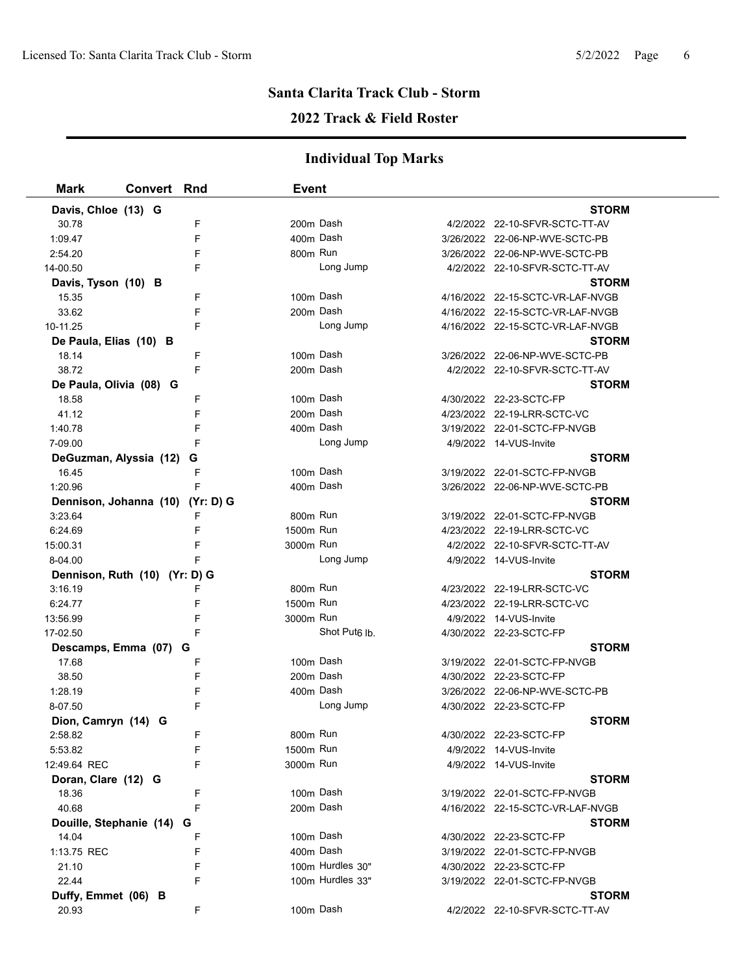### **2022 Track & Field Roster**

| <b>Mark</b>                      | <b>Convert Rnd</b> |   | <b>Event</b> |                           |                                  |  |
|----------------------------------|--------------------|---|--------------|---------------------------|----------------------------------|--|
| Davis, Chloe (13) G              |                    |   |              |                           | <b>STORM</b>                     |  |
| 30.78                            |                    | F | 200m Dash    |                           | 4/2/2022 22-10-SFVR-SCTC-TT-AV   |  |
| 1:09.47                          |                    | F | 400m Dash    |                           | 3/26/2022 22-06-NP-WVE-SCTC-PB   |  |
| 2:54.20                          |                    |   | 800m Run     |                           | 3/26/2022 22-06-NP-WVE-SCTC-PB   |  |
| 14-00.50                         |                    | F |              | Long Jump                 | 4/2/2022 22-10-SFVR-SCTC-TT-AV   |  |
| Davis, Tyson (10) B              |                    |   |              |                           | <b>STORM</b>                     |  |
| 15.35                            |                    | F | 100m Dash    |                           | 4/16/2022 22-15-SCTC-VR-LAF-NVGB |  |
| 33.62                            |                    |   | 200m Dash    |                           | 4/16/2022 22-15-SCTC-VR-LAF-NVGB |  |
| 10-11.25                         |                    | F |              | Long Jump                 | 4/16/2022 22-15-SCTC-VR-LAF-NVGB |  |
| De Paula, Elias (10) B           |                    |   |              |                           | <b>STORM</b>                     |  |
| 18.14                            |                    | F | 100m Dash    |                           | 3/26/2022 22-06-NP-WVE-SCTC-PB   |  |
| 38.72                            |                    | F | 200m Dash    |                           | 4/2/2022 22-10-SFVR-SCTC-TT-AV   |  |
| De Paula, Olivia (08) G          |                    |   |              |                           | <b>STORM</b>                     |  |
| 18.58                            |                    | F | 100m Dash    |                           | 4/30/2022 22-23-SCTC-FP          |  |
| 41.12                            |                    | F | 200m Dash    |                           | 4/23/2022 22-19-LRR-SCTC-VC      |  |
| 1:40.78                          |                    | F | 400m Dash    |                           | 3/19/2022 22-01-SCTC-FP-NVGB     |  |
| 7-09.00                          |                    | F |              | Long Jump                 | 4/9/2022 14-VUS-Invite           |  |
| DeGuzman, Alyssia (12)           |                    | G |              |                           | <b>STORM</b>                     |  |
| 16.45                            |                    | F | 100m Dash    |                           | 3/19/2022 22-01-SCTC-FP-NVGB     |  |
| 1:20.96                          |                    | F | 400m Dash    |                           | 3/26/2022 22-06-NP-WVE-SCTC-PB   |  |
| Dennison, Johanna (10) (Yr: D) G |                    |   |              |                           | <b>STORM</b>                     |  |
| 3:23.64                          |                    | F | 800m Run     |                           | 3/19/2022 22-01-SCTC-FP-NVGB     |  |
| 6:24.69                          |                    | F | 1500m Run    |                           | 4/23/2022 22-19-LRR-SCTC-VC      |  |
| 15:00.31                         |                    | F | 3000m Run    |                           | 4/2/2022 22-10-SFVR-SCTC-TT-AV   |  |
| 8-04.00                          |                    |   |              | Long Jump                 | 4/9/2022 14-VUS-Invite           |  |
| Dennison, Ruth (10) (Yr: D) G    |                    |   |              |                           | <b>STORM</b>                     |  |
| 3:16.19                          |                    | F | 800m Run     |                           | 4/23/2022 22-19-LRR-SCTC-VC      |  |
| 6:24.77                          |                    | F | 1500m Run    |                           | 4/23/2022 22-19-LRR-SCTC-VC      |  |
| 13:56.99                         |                    | F | 3000m Run    |                           | 4/9/2022 14-VUS-Invite           |  |
| 17-02.50                         |                    | F |              | Shot Put <sub>6</sub> lb. | 4/30/2022 22-23-SCTC-FP          |  |
| Descamps, Emma (07) G            |                    |   |              |                           | <b>STORM</b>                     |  |
| 17.68                            |                    | F | 100m Dash    |                           | 3/19/2022 22-01-SCTC-FP-NVGB     |  |
| 38.50                            |                    | F | 200m Dash    |                           | 4/30/2022 22-23-SCTC-FP          |  |
| 1:28.19                          |                    | F | 400m Dash    |                           | 3/26/2022 22-06-NP-WVE-SCTC-PB   |  |
| 8-07.50                          |                    | F |              | Long Jump                 | 4/30/2022 22-23-SCTC-FP          |  |
| Dion, Camryn (14) G              |                    |   |              |                           | <b>STORM</b>                     |  |
| 2:58.82                          |                    |   | 800m Run     |                           | 4/30/2022 22-23-SCTC-FP          |  |
| 5.53.82                          |                    | F | 1500m Run    |                           | 4/9/2022 14-VUS-Invite           |  |
| 12:49.64 REC                     |                    | F | 3000m Run    |                           | 4/9/2022 14-VUS-Invite           |  |
| Doran, Clare (12) G              |                    |   |              |                           | <b>STORM</b>                     |  |
| 18.36                            |                    | F | 100m Dash    |                           | 3/19/2022 22-01-SCTC-FP-NVGB     |  |
| 40.68                            |                    | F | 200m Dash    |                           | 4/16/2022 22-15-SCTC-VR-LAF-NVGB |  |
| Douille, Stephanie (14)          |                    | G |              |                           | <b>STORM</b>                     |  |
| 14.04                            |                    | F | 100m Dash    |                           | 4/30/2022 22-23-SCTC-FP          |  |
| 1:13.75 REC                      |                    | F | 400m Dash    |                           | 3/19/2022 22-01-SCTC-FP-NVGB     |  |
| 21.10                            |                    | F |              | 100m Hurdles 30"          | 4/30/2022 22-23-SCTC-FP          |  |
| 22.44                            |                    | F |              | 100m Hurdles 33"          | 3/19/2022 22-01-SCTC-FP-NVGB     |  |
| Duffy, Emmet (06) B              |                    |   |              |                           | <b>STORM</b>                     |  |
| 20.93                            |                    | F | 100m Dash    |                           | 4/2/2022 22-10-SFVR-SCTC-TT-AV   |  |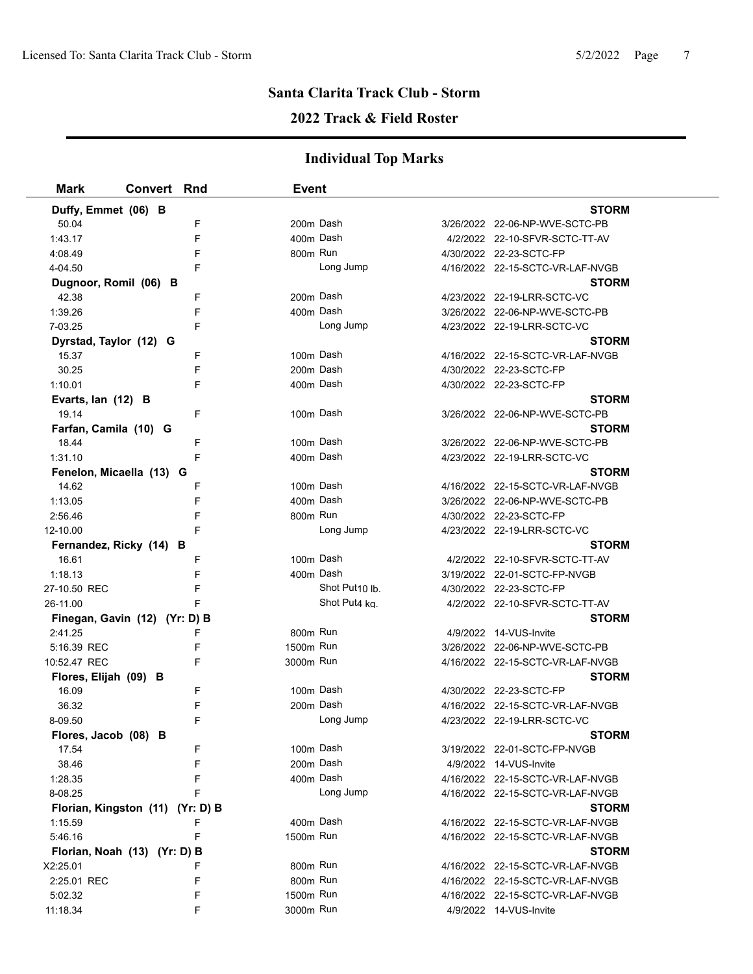### **2022 Track & Field Roster**

| <b>Mark</b>                      | <b>Convert Rnd</b> |   | Event     |                |                                  |  |
|----------------------------------|--------------------|---|-----------|----------------|----------------------------------|--|
| Duffy, Emmet (06) B              |                    |   |           |                | <b>STORM</b>                     |  |
| 50.04                            |                    | F |           | 200m Dash      | 3/26/2022 22-06-NP-WVE-SCTC-PB   |  |
| 1:43.17                          |                    | F |           | 400m Dash      | 4/2/2022 22-10-SFVR-SCTC-TT-AV   |  |
| 4:08.49                          |                    | F | 800m Run  |                | 4/30/2022 22-23-SCTC-FP          |  |
| 4-04.50                          |                    | F |           | Long Jump      | 4/16/2022 22-15-SCTC-VR-LAF-NVGB |  |
| Dugnoor, Romil (06) B            |                    |   |           |                | <b>STORM</b>                     |  |
| 42.38                            |                    | F | 200m Dash |                | 4/23/2022 22-19-LRR-SCTC-VC      |  |
| 1:39.26                          |                    | F |           | 400m Dash      | 3/26/2022 22-06-NP-WVE-SCTC-PB   |  |
| 7-03.25                          |                    | F |           | Long Jump      | 4/23/2022 22-19-LRR-SCTC-VC      |  |
| Dyrstad, Taylor (12) G           |                    |   |           |                | <b>STORM</b>                     |  |
| 15.37                            |                    | F |           | 100m Dash      | 4/16/2022 22-15-SCTC-VR-LAF-NVGB |  |
| 30.25                            |                    | F | 200m Dash |                | 4/30/2022 22-23-SCTC-FP          |  |
| 1:10.01                          |                    | F |           | 400m Dash      | 4/30/2022 22-23-SCTC-FP          |  |
| Evarts, lan (12) B               |                    |   |           |                | <b>STORM</b>                     |  |
| 19.14                            |                    | F |           | 100m Dash      | 3/26/2022 22-06-NP-WVE-SCTC-PB   |  |
| Farfan, Camila (10) G            |                    |   |           |                | <b>STORM</b>                     |  |
| 18.44                            |                    | F | 100m Dash |                | 3/26/2022 22-06-NP-WVE-SCTC-PB   |  |
| 1:31.10                          |                    | F |           | 400m Dash      | 4/23/2022 22-19-LRR-SCTC-VC      |  |
| Fenelon, Micaella (13) G         |                    |   |           |                | <b>STORM</b>                     |  |
| 14.62                            |                    | F |           | 100m Dash      | 4/16/2022 22-15-SCTC-VR-LAF-NVGB |  |
| 1:13.05                          |                    | F | 400m Dash |                | 3/26/2022 22-06-NP-WVE-SCTC-PB   |  |
| 2:56.46                          |                    | F | 800m Run  |                | 4/30/2022 22-23-SCTC-FP          |  |
| 12-10.00                         |                    | F |           | Long Jump      | 4/23/2022 22-19-LRR-SCTC-VC      |  |
| Fernandez, Ricky (14) B          |                    |   |           |                | <b>STORM</b>                     |  |
| 16.61                            |                    | F |           | 100m Dash      | 4/2/2022 22-10-SFVR-SCTC-TT-AV   |  |
| 1:18.13                          |                    | F |           | 400m Dash      | 3/19/2022 22-01-SCTC-FP-NVGB     |  |
| 27-10.50 REC                     |                    | F |           | Shot Put10 lb. | 4/30/2022 22-23-SCTC-FP          |  |
| 26-11.00                         |                    | F |           | Shot Put4 kg.  | 4/2/2022 22-10-SFVR-SCTC-TT-AV   |  |
| Finegan, Gavin (12) (Yr: D) B    |                    |   |           |                | <b>STORM</b>                     |  |
| 2:41.25                          |                    | F | 800m Run  |                | 4/9/2022 14-VUS-Invite           |  |
| 5:16.39 REC                      |                    | F | 1500m Run |                | 3/26/2022 22-06-NP-WVE-SCTC-PB   |  |
| 10:52.47 REC                     |                    | F | 3000m Run |                | 4/16/2022 22-15-SCTC-VR-LAF-NVGB |  |
| Flores, Elijah (09) B            |                    |   |           |                | <b>STORM</b>                     |  |
| 16.09                            |                    | F |           | 100m Dash      | 4/30/2022 22-23-SCTC-FP          |  |
| 36.32                            |                    | F |           | 200m Dash      | 4/16/2022 22-15-SCTC-VR-LAF-NVGB |  |
| 8-09.50                          |                    | F |           | Long Jump      | 4/23/2022 22-19-LRR-SCTC-VC      |  |
| Flores, Jacob (08) B             |                    |   |           |                | <b>STORM</b>                     |  |
| 17.54                            |                    | F |           | 100m Dash      | 3/19/2022 22-01-SCTC-FP-NVGB     |  |
| 38.46                            |                    | F | 200m Dash |                | 4/9/2022 14-VUS-Invite           |  |
| 1:28.35                          |                    | F | 400m Dash |                | 4/16/2022 22-15-SCTC-VR-LAF-NVGB |  |
| 8-08.25                          |                    |   |           | Long Jump      | 4/16/2022 22-15-SCTC-VR-LAF-NVGB |  |
| Florian, Kingston (11) (Yr: D) B |                    |   |           |                | <b>STORM</b>                     |  |
| 1:15.59                          |                    |   | 400m Dash |                | 4/16/2022 22-15-SCTC-VR-LAF-NVGB |  |
| 5:46.16                          |                    | F | 1500m Run |                | 4/16/2022 22-15-SCTC-VR-LAF-NVGB |  |
| Florian, Noah (13) (Yr: D) B     |                    |   |           |                | <b>STORM</b>                     |  |
| X2:25.01                         |                    | F | 800m Run  |                | 4/16/2022 22-15-SCTC-VR-LAF-NVGB |  |
| 2:25.01 REC                      |                    | F | 800m Run  |                | 4/16/2022 22-15-SCTC-VR-LAF-NVGB |  |
| 5:02.32                          |                    | F | 1500m Run |                | 4/16/2022 22-15-SCTC-VR-LAF-NVGB |  |
| 11:18.34                         |                    | F | 3000m Run |                | 4/9/2022 14-VUS-Invite           |  |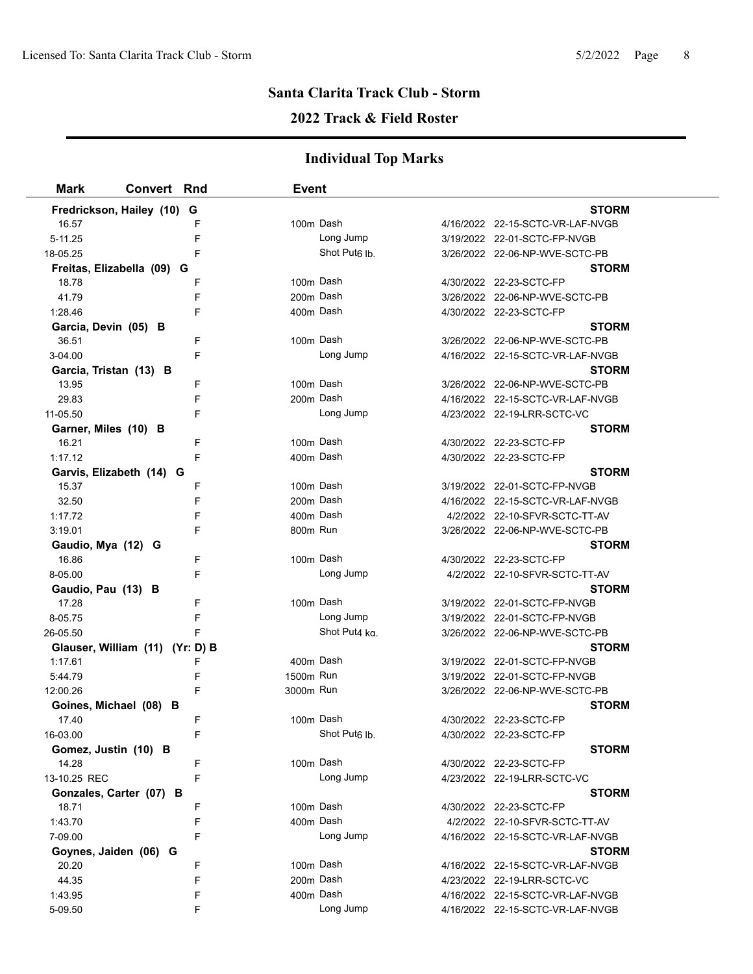### **2022 Track & Field Roster**

| <b>Mark</b><br><b>Convert Rnd</b> |   | <b>Event</b> |                           |                                  |
|-----------------------------------|---|--------------|---------------------------|----------------------------------|
| Fredrickson, Hailey (10) G        |   |              |                           | <b>STORM</b>                     |
| 16.57                             | F |              | 100m Dash                 | 4/16/2022 22-15-SCTC-VR-LAF-NVGB |
| 5-11.25                           | F |              | Long Jump                 | 3/19/2022 22-01-SCTC-FP-NVGB     |
| 18-05.25                          | F |              | Shot Put <sub>6</sub> lb. | 3/26/2022 22-06-NP-WVE-SCTC-PB   |
| Freitas, Elizabella (09) G        |   |              |                           | <b>STORM</b>                     |
| 18.78                             | F |              | 100m Dash                 | 4/30/2022 22-23-SCTC-FP          |
| 41.79                             | F |              | 200m Dash                 | 3/26/2022 22-06-NP-WVE-SCTC-PB   |
| 1:28.46                           | F |              | 400m Dash                 | 4/30/2022 22-23-SCTC-FP          |
| Garcia, Devin (05) B              |   |              |                           | <b>STORM</b>                     |
| 36.51                             | F |              | 100m Dash                 | 3/26/2022 22-06-NP-WVE-SCTC-PB   |
| 3-04.00                           | F |              | Long Jump                 | 4/16/2022 22-15-SCTC-VR-LAF-NVGB |
| Garcia, Tristan (13) B            |   |              |                           | <b>STORM</b>                     |
| 13.95                             | F |              | 100m Dash                 | 3/26/2022 22-06-NP-WVE-SCTC-PB   |
| 29.83                             | F |              | 200m Dash                 | 4/16/2022 22-15-SCTC-VR-LAF-NVGB |
| 11-05.50                          | F |              | Long Jump                 | 4/23/2022 22-19-LRR-SCTC-VC      |
| Garner, Miles (10) B              |   |              |                           | <b>STORM</b>                     |
| 16.21                             | F |              | 100m Dash                 | 4/30/2022 22-23-SCTC-FP          |
| 1:17.12                           | F |              | 400m Dash                 | 4/30/2022 22-23-SCTC-FP          |
| Garvis, Elizabeth (14) G          |   |              |                           | <b>STORM</b>                     |
| 15.37                             | F |              | 100m Dash                 | 3/19/2022 22-01-SCTC-FP-NVGB     |
| 32.50                             | F |              | 200m Dash                 | 4/16/2022 22-15-SCTC-VR-LAF-NVGB |
| 1:17.72                           | F |              | 400m Dash                 | 4/2/2022 22-10-SFVR-SCTC-TT-AV   |
| 3:19.01                           | F | 800m Run     |                           | 3/26/2022 22-06-NP-WVE-SCTC-PB   |
| Gaudio, Mya (12) G                |   |              |                           | STORM                            |
| 16.86                             | F |              | 100m Dash                 | 4/30/2022 22-23-SCTC-FP          |
| 8-05.00                           | F |              | Long Jump                 | 4/2/2022 22-10-SFVR-SCTC-TT-AV   |
| Gaudio, Pau (13) B                |   |              |                           | <b>STORM</b>                     |
| 17.28                             | F |              | 100m Dash                 | 3/19/2022 22-01-SCTC-FP-NVGB     |
| 8-05.75                           | F |              | Long Jump                 | 3/19/2022 22-01-SCTC-FP-NVGB     |
| 26-05.50                          | F |              | Shot Put4 ka.             | 3/26/2022 22-06-NP-WVE-SCTC-PB   |
| Glauser, William (11) (Yr: D) B   |   |              |                           | <b>STORM</b>                     |
| 1:17.61                           | F |              | 400m Dash                 | 3/19/2022 22-01-SCTC-FP-NVGB     |
| 5:44.79                           | F | 1500m Run    |                           | 3/19/2022 22-01-SCTC-FP-NVGB     |
| 12:00.26                          | F | 3000m Run    |                           | 3/26/2022 22-06-NP-WVE-SCTC-PB   |
| Goines, Michael (08) B            |   |              |                           | <b>STORM</b>                     |
| 17.40                             | F |              | 100m Dash                 | 4/30/2022 22-23-SCTC-FP          |
| 16-03.00                          | F |              | Shot Put <sub>6</sub> lb. | 4/30/2022 22-23-SCTC-FP          |
| Gomez, Justin (10) B              |   |              |                           | <b>STORM</b>                     |
| 14.28                             | F |              | 100m Dash                 | 4/30/2022 22-23-SCTC-FP          |
| 13-10.25 REC                      | F |              | Long Jump                 | 4/23/2022 22-19-LRR-SCTC-VC      |
| Gonzales, Carter (07) B           |   |              |                           | <b>STORM</b>                     |
| 18.71                             | F |              | 100m Dash                 | 4/30/2022 22-23-SCTC-FP          |
| 1:43.70                           | F |              | 400m Dash                 | 4/2/2022 22-10-SFVR-SCTC-TT-AV   |
| 7-09.00                           | F |              | Long Jump                 | 4/16/2022 22-15-SCTC-VR-LAF-NVGB |
| Goynes, Jaiden (06) G             |   |              |                           | STORM                            |
| 20.20                             | F |              | 100m Dash                 | 4/16/2022 22-15-SCTC-VR-LAF-NVGB |
| 44.35                             | F |              | 200m Dash                 | 4/23/2022 22-19-LRR-SCTC-VC      |
| 1:43.95                           | F |              | 400m Dash                 | 4/16/2022 22-15-SCTC-VR-LAF-NVGB |
| 5-09.50                           | F |              | Long Jump                 | 4/16/2022 22-15-SCTC-VR-LAF-NVGB |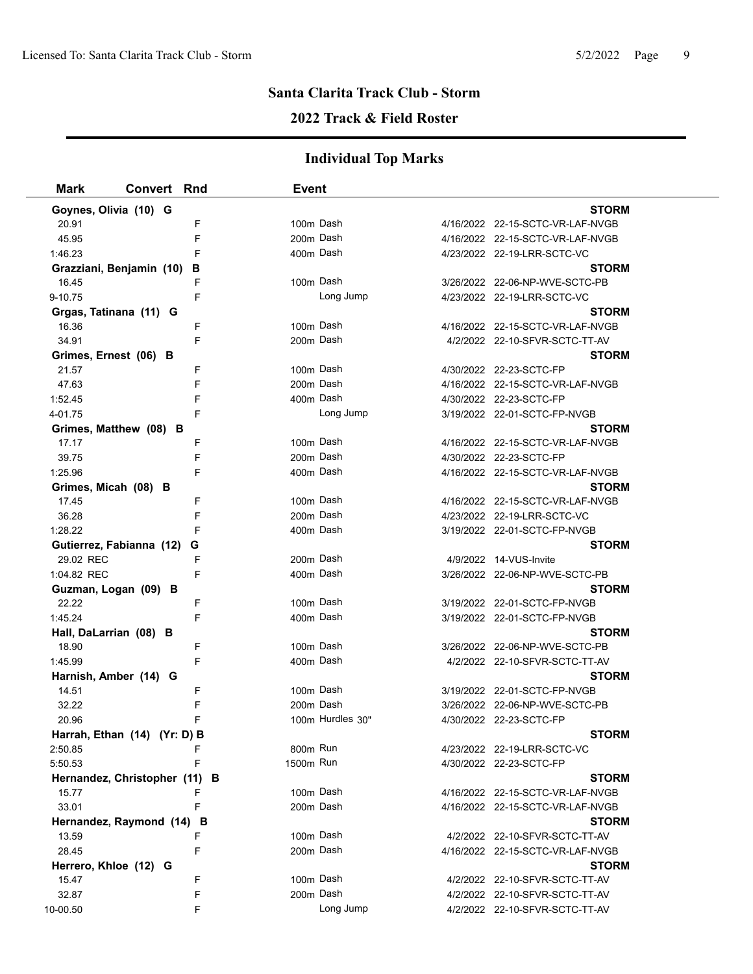### **2022 Track & Field Roster**

| Mark                   | <b>Convert Rnd</b>            |   | <b>Event</b> |                  |                                  |  |
|------------------------|-------------------------------|---|--------------|------------------|----------------------------------|--|
| Goynes, Olivia (10) G  |                               |   |              |                  | <b>STORM</b>                     |  |
| 20.91                  |                               | F | 100m Dash    |                  | 4/16/2022 22-15-SCTC-VR-LAF-NVGB |  |
| 45.95                  |                               | F | 200m Dash    |                  | 4/16/2022 22-15-SCTC-VR-LAF-NVGB |  |
| 1:46.23                |                               | F | 400m Dash    |                  | 4/23/2022 22-19-LRR-SCTC-VC      |  |
|                        | Grazziani, Benjamin (10)      | в |              |                  | <b>STORM</b>                     |  |
| 16.45                  |                               | F | 100m Dash    |                  | 3/26/2022 22-06-NP-WVE-SCTC-PB   |  |
| 9-10.75                |                               | F |              | Long Jump        | 4/23/2022 22-19-LRR-SCTC-VC      |  |
| Grgas, Tatinana (11) G |                               |   |              |                  | <b>STORM</b>                     |  |
| 16.36                  |                               | F | 100m Dash    |                  | 4/16/2022 22-15-SCTC-VR-LAF-NVGB |  |
| 34.91                  |                               | F | 200m Dash    |                  | 4/2/2022 22-10-SFVR-SCTC-TT-AV   |  |
| Grimes, Ernest (06) B  |                               |   |              |                  | <b>STORM</b>                     |  |
| 21.57                  |                               | F | 100m Dash    |                  | 4/30/2022 22-23-SCTC-FP          |  |
| 47.63                  |                               | F | 200m Dash    |                  | 4/16/2022 22-15-SCTC-VR-LAF-NVGB |  |
| 1:52.45                |                               | F | 400m Dash    |                  | 4/30/2022 22-23-SCTC-FP          |  |
| 4-01.75                |                               | F |              | Long Jump        | 3/19/2022 22-01-SCTC-FP-NVGB     |  |
|                        | Grimes, Matthew (08) B        |   |              |                  | <b>STORM</b>                     |  |
| 17.17                  |                               | F | 100m Dash    |                  | 4/16/2022 22-15-SCTC-VR-LAF-NVGB |  |
| 39.75                  |                               | F | 200m Dash    |                  | 4/30/2022 22-23-SCTC-FP          |  |
| 1:25.96                |                               | F | 400m Dash    |                  | 4/16/2022 22-15-SCTC-VR-LAF-NVGB |  |
| Grimes, Micah (08) B   |                               |   |              |                  | <b>STORM</b>                     |  |
| 17.45                  |                               | F | 100m Dash    |                  | 4/16/2022 22-15-SCTC-VR-LAF-NVGB |  |
| 36.28                  |                               | F | 200m Dash    |                  | 4/23/2022 22-19-LRR-SCTC-VC      |  |
| 1:28.22                |                               | F | 400m Dash    |                  | 3/19/2022 22-01-SCTC-FP-NVGB     |  |
|                        | Gutierrez, Fabianna (12) G    |   |              |                  | <b>STORM</b>                     |  |
| 29.02 REC              |                               | F | 200m Dash    |                  | 4/9/2022 14-VUS-Invite           |  |
| 1:04.82 REC            |                               | F | 400m Dash    |                  | 3/26/2022 22-06-NP-WVE-SCTC-PB   |  |
| Guzman, Logan (09) B   |                               |   |              |                  | <b>STORM</b>                     |  |
| 22.22                  |                               | F | 100m Dash    |                  | 3/19/2022 22-01-SCTC-FP-NVGB     |  |
| 1.45.24                |                               | F | 400m Dash    |                  | 3/19/2022 22-01-SCTC-FP-NVGB     |  |
| Hall, DaLarrian (08) B |                               |   |              |                  | <b>STORM</b>                     |  |
| 18.90                  |                               | F | 100m Dash    |                  | 3/26/2022 22-06-NP-WVE-SCTC-PB   |  |
| 1:45.99                |                               | F | 400m Dash    |                  | 4/2/2022 22-10-SFVR-SCTC-TT-AV   |  |
| Harnish, Amber (14) G  |                               |   |              |                  | <b>STORM</b>                     |  |
| 14.51                  |                               | F | 100m Dash    |                  | 3/19/2022 22-01-SCTC-FP-NVGB     |  |
| 32.22                  |                               | F | 200m Dash    |                  | 3/26/2022 22-06-NP-WVE-SCTC-PB   |  |
| 20.96                  |                               |   |              | 100m Hurdles 30" | 4/30/2022 22-23-SCTC-FP          |  |
|                        | Harrah, Ethan (14) (Yr: D) B  |   |              |                  | <b>STORM</b>                     |  |
| 2:50.85                |                               | F | 800m Run     |                  | 4/23/2022 22-19-LRR-SCTC-VC      |  |
| 5:50.53                |                               | F | 1500m Run    |                  | 4/30/2022 22-23-SCTC-FP          |  |
|                        | Hernandez, Christopher (11) B |   |              |                  | <b>STORM</b>                     |  |
| 15.77                  |                               |   | 100m Dash    |                  | 4/16/2022 22-15-SCTC-VR-LAF-NVGB |  |
| 33.01                  |                               | F | 200m Dash    |                  | 4/16/2022 22-15-SCTC-VR-LAF-NVGB |  |
|                        | Hernandez, Raymond (14) B     |   |              |                  | <b>STORM</b>                     |  |
| 13.59                  |                               | F | 100m Dash    |                  | 4/2/2022 22-10-SFVR-SCTC-TT-AV   |  |
| 28.45                  |                               | F | 200m Dash    |                  | 4/16/2022 22-15-SCTC-VR-LAF-NVGB |  |
| Herrero, Khloe (12) G  |                               |   |              |                  | <b>STORM</b>                     |  |
| 15.47                  |                               | F | 100m Dash    |                  | 4/2/2022 22-10-SFVR-SCTC-TT-AV   |  |
| 32.87                  |                               | F | 200m Dash    |                  | 4/2/2022 22-10-SFVR-SCTC-TT-AV   |  |
| 10-00.50               |                               | F |              | Long Jump        | 4/2/2022 22-10-SFVR-SCTC-TT-AV   |  |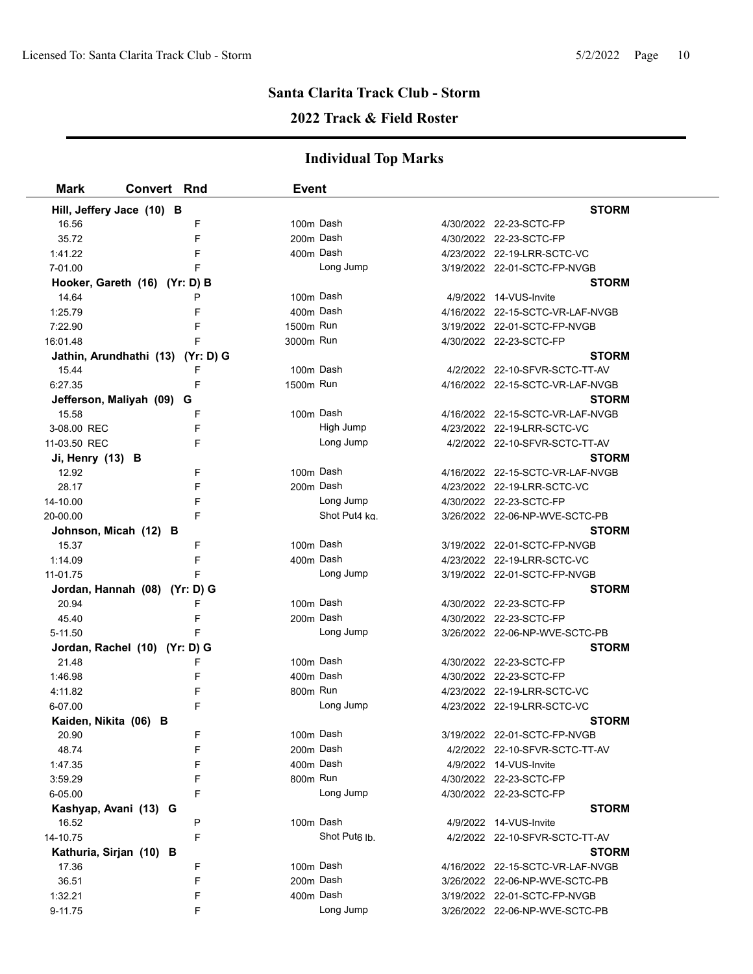### **2022 Track & Field Roster**

| <b>Mark</b>           | <b>Convert Rnd</b>                | Event     |                           |                                  |
|-----------------------|-----------------------------------|-----------|---------------------------|----------------------------------|
|                       | Hill, Jeffery Jace (10) B         |           |                           | <b>STORM</b>                     |
| 16.56                 | F                                 | 100m Dash |                           | 4/30/2022 22-23-SCTC-FP          |
| 35.72                 | F                                 | 200m Dash |                           | 4/30/2022 22-23-SCTC-FP          |
| 1:41.22               | F                                 |           | 400m Dash                 | 4/23/2022 22-19-LRR-SCTC-VC      |
| 7-01.00               |                                   |           | Long Jump                 | 3/19/2022 22-01-SCTC-FP-NVGB     |
|                       | Hooker, Gareth (16) (Yr: D) B     |           |                           | <b>STORM</b>                     |
| 14.64                 | P                                 | 100m Dash |                           | 4/9/2022 14-VUS-Invite           |
| 1:25.79               | F                                 | 400m Dash |                           | 4/16/2022 22-15-SCTC-VR-LAF-NVGB |
| 7:22.90               | F                                 | 1500m Run |                           | 3/19/2022 22-01-SCTC-FP-NVGB     |
| 16:01.48              | F                                 | 3000m Run |                           | 4/30/2022 22-23-SCTC-FP          |
|                       | Jathin, Arundhathi (13) (Yr: D) G |           |                           | <b>STORM</b>                     |
| 15.44                 | F                                 | 100m Dash |                           | 4/2/2022 22-10-SFVR-SCTC-TT-AV   |
| 6:27.35               | F                                 | 1500m Run |                           | 4/16/2022 22-15-SCTC-VR-LAF-NVGB |
|                       | Jefferson, Maliyah (09) G         |           |                           | <b>STORM</b>                     |
| 15.58                 | F                                 | 100m Dash |                           | 4/16/2022 22-15-SCTC-VR-LAF-NVGB |
| 3-08.00 REC           | F                                 |           | High Jump                 | 4/23/2022 22-19-LRR-SCTC-VC      |
| 11-03.50 REC          |                                   |           | Long Jump                 | 4/2/2022 22-10-SFVR-SCTC-TT-AV   |
| Ji, Henry (13) B      |                                   |           |                           | <b>STORM</b>                     |
| 12.92                 | F                                 |           | 100m Dash                 | 4/16/2022 22-15-SCTC-VR-LAF-NVGB |
| 28.17                 | F                                 | 200m Dash |                           | 4/23/2022 22-19-LRR-SCTC-VC      |
| 14-10.00              | F                                 |           | Long Jump                 | 4/30/2022 22-23-SCTC-FP          |
| 20-00.00              | F                                 |           | Shot Put4 ka.             | 3/26/2022 22-06-NP-WVE-SCTC-PB   |
|                       | Johnson, Micah (12) B             |           |                           | <b>STORM</b>                     |
| 15.37                 | F                                 | 100m Dash |                           | 3/19/2022 22-01-SCTC-FP-NVGB     |
| 1:14.09               | F                                 |           | 400m Dash                 | 4/23/2022 22-19-LRR-SCTC-VC      |
| 11-01.75              |                                   |           | Long Jump                 | 3/19/2022 22-01-SCTC-FP-NVGB     |
|                       | Jordan, Hannah (08) (Yr: D) G     |           |                           | <b>STORM</b>                     |
| 20.94                 | F                                 | 100m Dash |                           | 4/30/2022 22-23-SCTC-FP          |
| 45.40                 | F                                 |           | 200m Dash                 | 4/30/2022 22-23-SCTC-FP          |
| 5-11.50               |                                   |           | Long Jump                 | 3/26/2022 22-06-NP-WVE-SCTC-PB   |
|                       | Jordan, Rachel (10) (Yr: D) G     |           |                           | <b>STORM</b>                     |
| 21.48                 | F                                 |           | 100m Dash                 | 4/30/2022 22-23-SCTC-FP          |
| 1:46.98               | F                                 | 400m Dash |                           | 4/30/2022 22-23-SCTC-FP          |
| 4:11.82               | F                                 | 800m Run  |                           | 4/23/2022 22-19-LRR-SCTC-VC      |
| 6-07.00               | F                                 |           | Long Jump                 | 4/23/2022 22-19-LRR-SCTC-VC      |
| Kaiden, Nikita (06) B |                                   |           |                           | <b>STORM</b>                     |
| 20.90                 | F                                 |           | 100m Dash                 | 3/19/2022 22-01-SCTC-FP-NVGB     |
| 48.74                 | F                                 | 200m Dash |                           | 4/2/2022 22-10-SFVR-SCTC-TT-AV   |
| 1.47.35               | F                                 |           | 400m Dash                 | 4/9/2022 14-VUS-Invite           |
| 3:59.29               | F                                 | 800m Run  |                           | 4/30/2022 22-23-SCTC-FP          |
| 6-05.00               | F                                 |           | Long Jump                 | 4/30/2022 22-23-SCTC-FP          |
|                       | Kashyap, Avani (13) G             |           |                           | <b>STORM</b>                     |
| 16.52                 | P                                 |           | 100m Dash                 | 4/9/2022 14-VUS-Invite           |
| 14-10.75              | F                                 |           | Shot Put <sub>6</sub> lb. | 4/2/2022 22-10-SFVR-SCTC-TT-AV   |
|                       | Kathuria, Sirjan (10) B           |           |                           | <b>STORM</b>                     |
| 17.36                 | F                                 | 100m Dash |                           | 4/16/2022 22-15-SCTC-VR-LAF-NVGB |
| 36.51                 | F                                 | 200m Dash |                           | 3/26/2022 22-06-NP-WVE-SCTC-PB   |
| 1:32.21               | F                                 |           | 400m Dash                 | 3/19/2022 22-01-SCTC-FP-NVGB     |
| 9-11.75               | F                                 |           | Long Jump                 | 3/26/2022 22-06-NP-WVE-SCTC-PB   |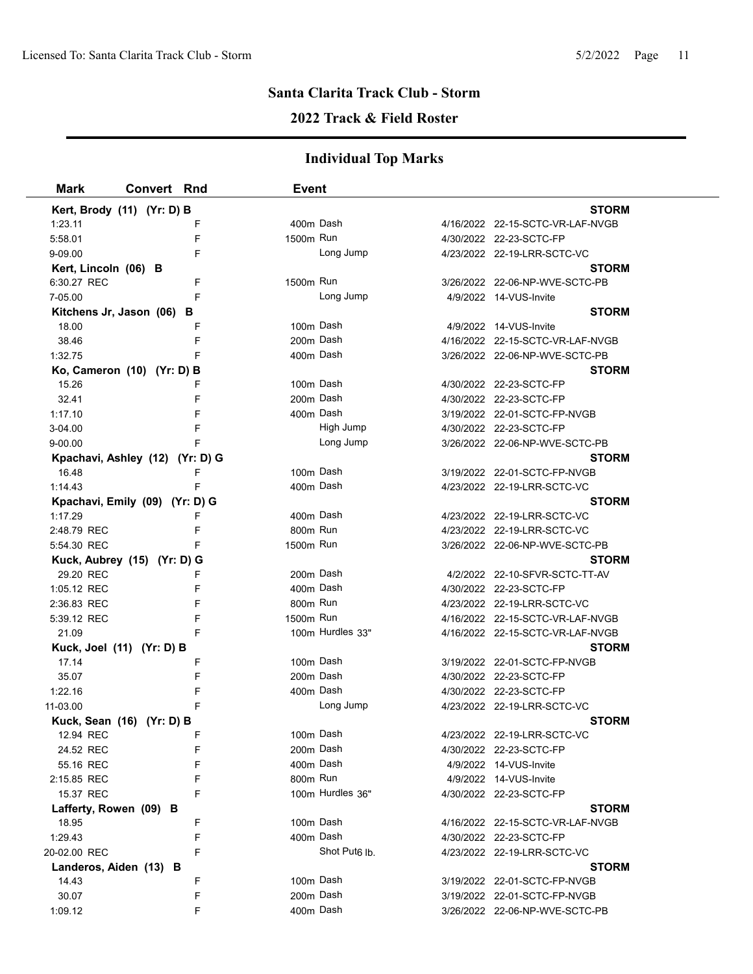### **2022 Track & Field Roster**

| Mark                   | <b>Convert Rnd</b>              | <b>Event</b>   |                           |                                  |              |
|------------------------|---------------------------------|----------------|---------------------------|----------------------------------|--------------|
|                        | Kert, Brody (11) (Yr: D) B      |                |                           |                                  | <b>STORM</b> |
| 1:23.11                |                                 | F              | 400m Dash                 | 4/16/2022 22-15-SCTC-VR-LAF-NVGB |              |
| 5:58.01                |                                 | 1500m Run<br>F |                           | 4/30/2022 22-23-SCTC-FP          |              |
| 9-09.00                |                                 | F              | Long Jump                 | 4/23/2022 22-19-LRR-SCTC-VC      |              |
| Kert, Lincoln (06) B   |                                 |                |                           |                                  | <b>STORM</b> |
| 6:30.27 REC            |                                 | 1500m Run<br>F |                           | 3/26/2022 22-06-NP-WVE-SCTC-PB   |              |
| 7-05.00                |                                 | F              | Long Jump                 | 4/9/2022 14-VUS-Invite           |              |
|                        | Kitchens Jr, Jason (06) B       |                |                           |                                  | <b>STORM</b> |
| 18.00                  |                                 | F              | 100m Dash                 | 4/9/2022 14-VUS-Invite           |              |
| 38.46                  |                                 | F              | 200m Dash                 | 4/16/2022 22-15-SCTC-VR-LAF-NVGB |              |
| 1:32.75                |                                 | F              | 400m Dash                 | 3/26/2022 22-06-NP-WVE-SCTC-PB   |              |
|                        | Ko, Cameron (10) (Yr: D) B      |                |                           |                                  | <b>STORM</b> |
| 15.26                  |                                 | F              | 100m Dash                 | 4/30/2022 22-23-SCTC-FP          |              |
| 32.41                  |                                 | F              | 200m Dash                 | 4/30/2022 22-23-SCTC-FP          |              |
| 1:17.10                |                                 | F              | 400m Dash                 | 3/19/2022 22-01-SCTC-FP-NVGB     |              |
| 3-04.00                |                                 | F              | High Jump                 | 4/30/2022 22-23-SCTC-FP          |              |
| 9-00.00                |                                 | F              | Long Jump                 | 3/26/2022 22-06-NP-WVE-SCTC-PB   |              |
|                        | Kpachavi, Ashley (12) (Yr: D) G |                |                           |                                  | <b>STORM</b> |
| 16.48                  |                                 | F              | 100m Dash                 | 3/19/2022 22-01-SCTC-FP-NVGB     |              |
| 1:14.43                |                                 | F              | 400m Dash                 | 4/23/2022 22-19-LRR-SCTC-VC      |              |
|                        | Kpachavi, Emily (09) (Yr: D) G  |                |                           |                                  | <b>STORM</b> |
| 1:17.29                |                                 | F              | 400m Dash                 | 4/23/2022 22-19-LRR-SCTC-VC      |              |
| 2:48.79 REC            |                                 | 800m Run<br>F  |                           | 4/23/2022 22-19-LRR-SCTC-VC      |              |
| 5:54.30 REC            |                                 | 1500m Run<br>F |                           | 3/26/2022 22-06-NP-WVE-SCTC-PB   |              |
|                        | Kuck, Aubrey (15) (Yr: D) G     |                |                           |                                  | <b>STORM</b> |
| 29.20 REC              |                                 | F              | 200m Dash                 | 4/2/2022 22-10-SFVR-SCTC-TT-AV   |              |
| 1:05.12 REC            |                                 | F              | 400m Dash                 | 4/30/2022 22-23-SCTC-FP          |              |
| 2:36.83 REC            |                                 | 800m Run<br>F  |                           | 4/23/2022 22-19-LRR-SCTC-VC      |              |
| 5:39.12 REC            |                                 | 1500m Run<br>F |                           | 4/16/2022 22-15-SCTC-VR-LAF-NVGB |              |
| 21.09                  |                                 | F              | 100m Hurdles 33"          | 4/16/2022 22-15-SCTC-VR-LAF-NVGB |              |
|                        | Kuck, Joel (11) (Yr: D) B       |                |                           |                                  | <b>STORM</b> |
| 17.14                  |                                 | F              | 100m Dash                 | 3/19/2022 22-01-SCTC-FP-NVGB     |              |
| 35.07                  |                                 | F              | 200m Dash                 | 4/30/2022 22-23-SCTC-FP          |              |
| 1:22.16                |                                 | F              | 400m Dash                 | 4/30/2022 22-23-SCTC-FP          |              |
| 11-03.00               |                                 | F              | Long Jump                 | 4/23/2022 22-19-LRR-SCTC-VC      |              |
|                        | Kuck, Sean (16) (Yr: D) B       |                |                           |                                  | <b>STORM</b> |
| 12.94 REC              |                                 |                | 100m Dash                 | 4/23/2022 22-19-LRR-SCTC-VC      |              |
| 24.52 REC              |                                 | F              | 200m Dash                 | 4/30/2022 22-23-SCTC-FP          |              |
| 55.16 REC              |                                 | F              | 400m Dash                 | 4/9/2022 14-VUS-Invite           |              |
| 2:15.85 REC            |                                 | 800m Run<br>F  |                           | 4/9/2022 14-VUS-Invite           |              |
| 15.37 REC              |                                 | F              | 100m Hurdles 36"          | 4/30/2022 22-23-SCTC-FP          |              |
| Lafferty, Rowen (09) B |                                 |                |                           |                                  | <b>STORM</b> |
| 18.95                  |                                 | F              | 100m Dash                 | 4/16/2022 22-15-SCTC-VR-LAF-NVGB |              |
| 1.29.43                |                                 | F              | 400m Dash                 | 4/30/2022 22-23-SCTC-FP          |              |
| 20-02.00 REC           |                                 | F              | Shot Put <sub>6</sub> lb. | 4/23/2022 22-19-LRR-SCTC-VC      |              |
| Landeros, Aiden (13) B |                                 |                |                           |                                  | <b>STORM</b> |
| 14.43                  |                                 | F              | 100m Dash                 | 3/19/2022 22-01-SCTC-FP-NVGB     |              |
| 30.07                  |                                 | F              | 200m Dash                 | 3/19/2022 22-01-SCTC-FP-NVGB     |              |
| 1:09.12                |                                 | F              | 400m Dash                 | 3/26/2022 22-06-NP-WVE-SCTC-PB   |              |
|                        |                                 |                |                           |                                  |              |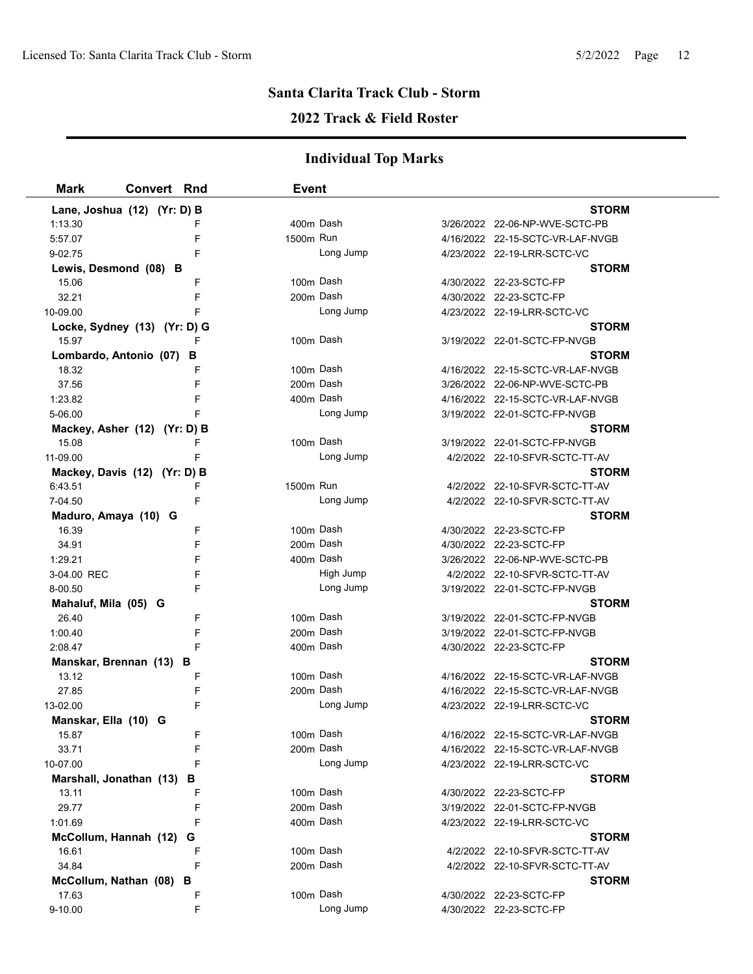### **2022 Track & Field Roster**

| <b>Mark</b>                    | <b>Convert Rnd</b>           | <b>Event</b> |           |                                                         |  |
|--------------------------------|------------------------------|--------------|-----------|---------------------------------------------------------|--|
|                                | Lane, Joshua (12) (Yr: D) B  |              |           | <b>STORM</b>                                            |  |
| 1:13.30                        |                              | 400m Dash    |           | 3/26/2022 22-06-NP-WVE-SCTC-PB                          |  |
| 5:57.07                        | F                            | 1500m Run    |           | 4/16/2022 22-15-SCTC-VR-LAF-NVGB                        |  |
| 9-02.75                        | F                            |              | Long Jump | 4/23/2022 22-19-LRR-SCTC-VC                             |  |
| Lewis, Desmond (08) B          |                              |              |           | <b>STORM</b>                                            |  |
| 15.06                          | F                            |              | 100m Dash | 4/30/2022 22-23-SCTC-FP                                 |  |
| 32.21                          | F                            |              | 200m Dash | 4/30/2022 22-23-SCTC-FP                                 |  |
| 10-09.00                       | F                            |              | Long Jump | 4/23/2022 22-19-LRR-SCTC-VC                             |  |
|                                | Locke, Sydney (13) (Yr: D) G |              |           | <b>STORM</b>                                            |  |
| 15.97                          |                              |              | 100m Dash | 3/19/2022 22-01-SCTC-FP-NVGB                            |  |
|                                | Lombardo, Antonio (07)<br>в  |              |           | <b>STORM</b>                                            |  |
| 18.32                          | F                            |              | 100m Dash | 4/16/2022 22-15-SCTC-VR-LAF-NVGB                        |  |
| 37.56                          | F                            | 200m Dash    |           | 3/26/2022 22-06-NP-WVE-SCTC-PB                          |  |
| 1:23.82                        | F                            |              | 400m Dash | 4/16/2022 22-15-SCTC-VR-LAF-NVGB                        |  |
| 5-06.00                        |                              |              | Long Jump | 3/19/2022 22-01-SCTC-FP-NVGB                            |  |
|                                | Mackey, Asher (12) (Yr: D) B |              |           | <b>STORM</b>                                            |  |
| 15.08                          | F                            |              | 100m Dash | 3/19/2022 22-01-SCTC-FP-NVGB                            |  |
| 11-09.00                       | F                            |              | Long Jump | 4/2/2022 22-10-SFVR-SCTC-TT-AV                          |  |
|                                | Mackey, Davis (12) (Yr: D) B |              |           | <b>STORM</b>                                            |  |
| 6:43.51                        | F                            | 1500m Run    |           | 4/2/2022 22-10-SFVR-SCTC-TT-AV                          |  |
| 7-04.50                        | F                            |              | Long Jump | 4/2/2022 22-10-SFVR-SCTC-TT-AV                          |  |
| Maduro, Amaya (10) G           |                              |              |           | <b>STORM</b>                                            |  |
| 16.39                          | F                            |              | 100m Dash | 4/30/2022 22-23-SCTC-FP                                 |  |
| 34.91                          | F                            |              | 200m Dash | 4/30/2022 22-23-SCTC-FP                                 |  |
| 1:29.21                        | F                            |              | 400m Dash | 3/26/2022 22-06-NP-WVE-SCTC-PB                          |  |
| 3-04.00 REC                    | F                            |              | High Jump | 4/2/2022 22-10-SFVR-SCTC-TT-AV                          |  |
| 8-00.50                        | F                            |              | Long Jump | 3/19/2022 22-01-SCTC-FP-NVGB                            |  |
| Mahaluf, Mila (05) G           |                              |              |           | <b>STORM</b>                                            |  |
| 26.40                          | F                            |              | 100m Dash | 3/19/2022 22-01-SCTC-FP-NVGB                            |  |
| 1:00.40                        | F                            |              | 200m Dash | 3/19/2022 22-01-SCTC-FP-NVGB                            |  |
| 2:08.47                        | F                            |              | 400m Dash | 4/30/2022 22-23-SCTC-FP                                 |  |
|                                | Manskar, Brennan (13) B      |              |           | <b>STORM</b>                                            |  |
| 13.12                          | F                            |              | 100m Dash | 4/16/2022 22-15-SCTC-VR-LAF-NVGB                        |  |
| 27.85                          | F                            |              | 200m Dash | 4/16/2022 22-15-SCTC-VR-LAF-NVGB                        |  |
| 13-02.00                       | F                            |              | Long Jump | 4/23/2022 22-19-LRR-SCTC-VC                             |  |
| Manskar, Ella (10) G           |                              |              |           | <b>STORM</b>                                            |  |
| 15.87                          | F                            |              | 100m Dash | 4/16/2022 22-15-SCTC-VR-LAF-NVGB                        |  |
| 33.71                          | F                            |              | 200m Dash | 4/16/2022 22-15-SCTC-VR-LAF-NVGB                        |  |
| 10-07.00                       |                              |              | Long Jump | 4/23/2022 22-19-LRR-SCTC-VC                             |  |
| Marshall, Jonathan (13)        | в<br>F                       |              | 100m Dash | <b>STORM</b>                                            |  |
| 13.11<br>29.77                 | F                            |              | 200m Dash | 4/30/2022 22-23-SCTC-FP<br>3/19/2022 22-01-SCTC-FP-NVGB |  |
| 1:01.69                        |                              |              | 400m Dash | 4/23/2022 22-19-LRR-SCTC-VC                             |  |
|                                | G                            |              |           | <b>STORM</b>                                            |  |
| McCollum, Hannah (12)<br>16.61 | F                            |              | 100m Dash | 4/2/2022 22-10-SFVR-SCTC-TT-AV                          |  |
| 34.84                          | F                            |              | 200m Dash | 4/2/2022 22-10-SFVR-SCTC-TT-AV                          |  |
|                                | McCollum, Nathan (08) B      |              |           | <b>STORM</b>                                            |  |
| 17.63                          | F                            |              | 100m Dash | 4/30/2022 22-23-SCTC-FP                                 |  |
| 9-10.00                        | F                            |              | Long Jump | 4/30/2022 22-23-SCTC-FP                                 |  |
|                                |                              |              |           |                                                         |  |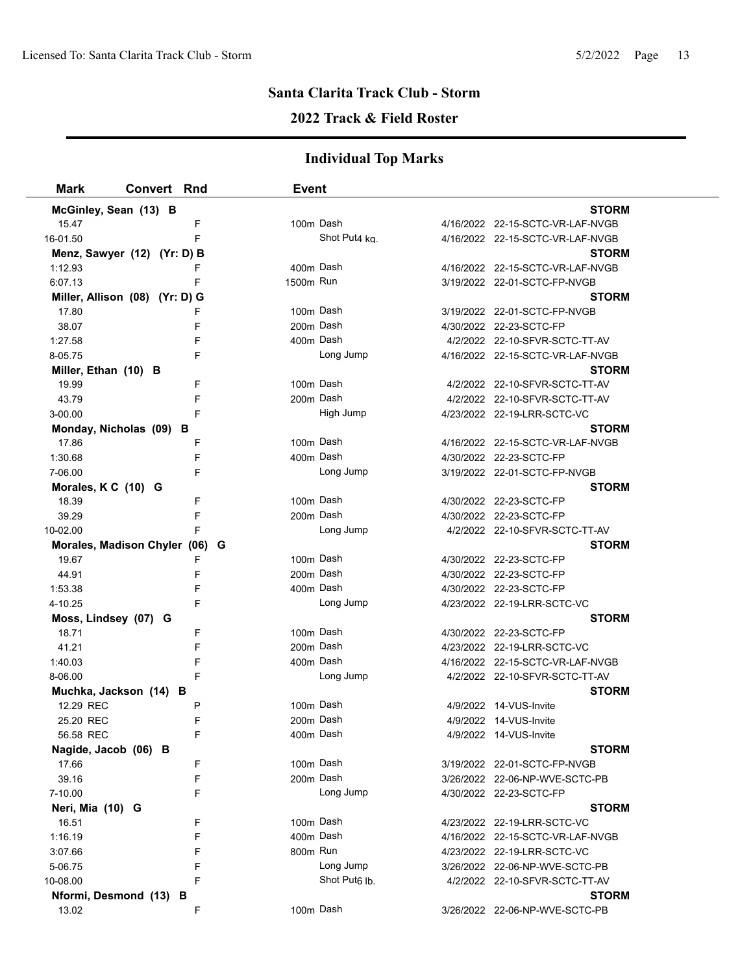### **2022 Track & Field Roster**

| <b>Mark</b>           | <b>Convert Rnd</b>             |   | <b>Event</b> |                           |                                  |  |
|-----------------------|--------------------------------|---|--------------|---------------------------|----------------------------------|--|
| McGinley, Sean (13) B |                                |   |              |                           | <b>STORM</b>                     |  |
| 15.47                 |                                | F | 100m Dash    |                           | 4/16/2022 22-15-SCTC-VR-LAF-NVGB |  |
| 16-01.50              |                                | F |              | Shot Put4 ka.             | 4/16/2022 22-15-SCTC-VR-LAF-NVGB |  |
|                       | Menz, Sawyer (12) (Yr: D) B    |   |              |                           | <b>STORM</b>                     |  |
| 1:12.93               |                                | F | 400m Dash    |                           | 4/16/2022 22-15-SCTC-VR-LAF-NVGB |  |
| 6:07.13               |                                | F | 1500m Run    |                           | 3/19/2022 22-01-SCTC-FP-NVGB     |  |
|                       | Miller, Allison (08) (Yr: D) G |   |              |                           | <b>STORM</b>                     |  |
| 17.80                 |                                | F |              | 100m Dash                 | 3/19/2022 22-01-SCTC-FP-NVGB     |  |
| 38.07                 |                                | F | 200m Dash    |                           | 4/30/2022 22-23-SCTC-FP          |  |
| 1:27.58               |                                | F | 400m Dash    |                           | 4/2/2022 22-10-SFVR-SCTC-TT-AV   |  |
| 8-05.75               |                                | F |              | Long Jump                 | 4/16/2022 22-15-SCTC-VR-LAF-NVGB |  |
| Miller, Ethan (10) B  |                                |   |              |                           | STORM                            |  |
| 19.99                 |                                | F | 100m Dash    |                           | 4/2/2022 22-10-SFVR-SCTC-TT-AV   |  |
| 43.79                 |                                | F | 200m Dash    |                           | 4/2/2022 22-10-SFVR-SCTC-TT-AV   |  |
| 3-00.00               |                                | F |              | High Jump                 | 4/23/2022 22-19-LRR-SCTC-VC      |  |
|                       | Monday, Nicholas (09) B        |   |              |                           | STORM                            |  |
| 17.86                 |                                | F |              | 100m Dash                 | 4/16/2022 22-15-SCTC-VR-LAF-NVGB |  |
| 1:30.68               |                                | F | 400m Dash    |                           | 4/30/2022 22-23-SCTC-FP          |  |
| 7-06.00               |                                | F |              | Long Jump                 | 3/19/2022 22-01-SCTC-FP-NVGB     |  |
| Morales, K C (10) G   |                                |   |              |                           | <b>STORM</b>                     |  |
| 18.39                 |                                | F | 100m Dash    |                           | 4/30/2022 22-23-SCTC-FP          |  |
| 39.29                 |                                | F | 200m Dash    |                           | 4/30/2022 22-23-SCTC-FP          |  |
| 10-02.00              |                                | F |              | Long Jump                 | 4/2/2022 22-10-SFVR-SCTC-TT-AV   |  |
|                       | Morales, Madison Chyler (06)   |   | G            |                           | <b>STORM</b>                     |  |
| 19.67                 |                                | F |              | 100m Dash                 | 4/30/2022 22-23-SCTC-FP          |  |
| 44.91                 |                                | F | 200m Dash    |                           | 4/30/2022 22-23-SCTC-FP          |  |
| 1:53.38               |                                | F | 400m Dash    |                           | 4/30/2022 22-23-SCTC-FP          |  |
| 4-10.25               |                                | F |              | Long Jump                 | 4/23/2022 22-19-LRR-SCTC-VC      |  |
| Moss, Lindsey (07) G  |                                |   |              |                           | <b>STORM</b>                     |  |
| 18.71                 |                                | F | 100m Dash    |                           | 4/30/2022 22-23-SCTC-FP          |  |
| 41.21                 |                                | F | 200m Dash    |                           | 4/23/2022 22-19-LRR-SCTC-VC      |  |
| 1:40.03               |                                | F | 400m Dash    |                           | 4/16/2022 22-15-SCTC-VR-LAF-NVGB |  |
| 8-06.00               |                                | F |              | Long Jump                 | 4/2/2022 22-10-SFVR-SCTC-TT-AV   |  |
|                       | Muchka, Jackson (14) B         |   |              |                           | <b>STORM</b>                     |  |
| 12.29 REC             |                                | Ρ | 100m Dash    |                           | 4/9/2022 14-VUS-Invite           |  |
| 25.20 REC             |                                | F |              | 200m Dash                 | 4/9/2022 14-VUS-Invite           |  |
| 56.58 REC             |                                |   | 400m Dash    |                           | 4/9/2022 14-VUS-Invite           |  |
| Nagide, Jacob (06) B  |                                |   |              |                           | <b>STORM</b>                     |  |
| 17.66                 |                                | F | 100m Dash    |                           | 3/19/2022 22-01-SCTC-FP-NVGB     |  |
| 39.16                 |                                | F | 200m Dash    |                           | 3/26/2022 22-06-NP-WVE-SCTC-PB   |  |
| 7-10.00               |                                | F |              | Long Jump                 | 4/30/2022 22-23-SCTC-FP          |  |
| Neri, Mia (10) G      |                                |   |              |                           | <b>STORM</b>                     |  |
| 16.51                 |                                | F | 100m Dash    |                           | 4/23/2022 22-19-LRR-SCTC-VC      |  |
| 1:16.19               |                                | F | 400m Dash    |                           | 4/16/2022 22-15-SCTC-VR-LAF-NVGB |  |
| 3:07.66               |                                | F | 800m Run     |                           | 4/23/2022 22-19-LRR-SCTC-VC      |  |
| 5-06.75               |                                | F |              | Long Jump                 | 3/26/2022 22-06-NP-WVE-SCTC-PB   |  |
| 10-08.00              |                                | F |              | Shot Put <sub>6</sub> lb. | 4/2/2022 22-10-SFVR-SCTC-TT-AV   |  |
|                       | Nformi, Desmond (13) B         |   |              |                           | <b>STORM</b>                     |  |
| 13.02                 |                                | F | 100m Dash    |                           | 3/26/2022 22-06-NP-WVE-SCTC-PB   |  |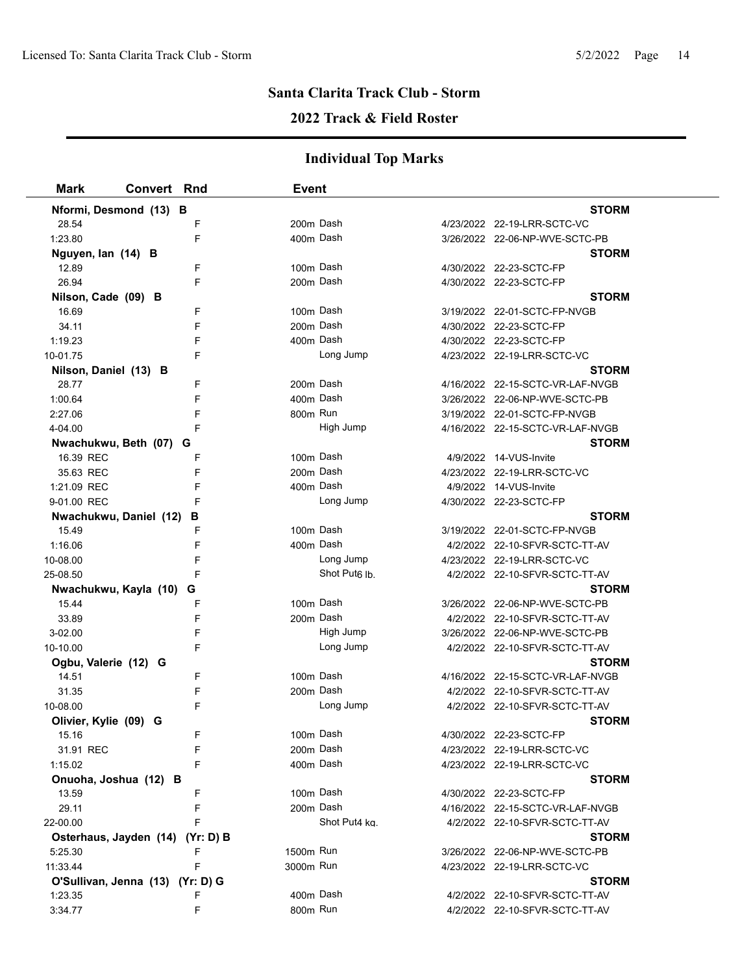# **2022 Track & Field Roster**

| <b>Mark</b>           | <b>Convert Rnd</b>               | <b>Event</b> |                           |                                  |  |
|-----------------------|----------------------------------|--------------|---------------------------|----------------------------------|--|
|                       | Nformi, Desmond (13) B           |              |                           | <b>STORM</b>                     |  |
| 28.54                 | F                                | 200m Dash    |                           | 4/23/2022 22-19-LRR-SCTC-VC      |  |
| 1:23.80               | F                                | 400m Dash    |                           | 3/26/2022 22-06-NP-WVE-SCTC-PB   |  |
| Nguyen, lan (14) B    |                                  |              |                           | <b>STORM</b>                     |  |
| 12.89                 | F                                |              | 100m Dash                 | 4/30/2022 22-23-SCTC-FP          |  |
| 26.94                 | F                                | 200m Dash    |                           | 4/30/2022 22-23-SCTC-FP          |  |
| Nilson, Cade (09) B   |                                  |              |                           | <b>STORM</b>                     |  |
| 16.69                 | F                                | 100m Dash    |                           | 3/19/2022 22-01-SCTC-FP-NVGB     |  |
| 34.11                 | F                                | 200m Dash    |                           | 4/30/2022 22-23-SCTC-FP          |  |
| 1:19.23               | F                                | 400m Dash    |                           | 4/30/2022 22-23-SCTC-FP          |  |
| 10-01.75              | F                                |              | Long Jump                 | 4/23/2022 22-19-LRR-SCTC-VC      |  |
| Nilson, Daniel (13) B |                                  |              |                           | <b>STORM</b>                     |  |
| 28.77                 | F                                | 200m Dash    |                           | 4/16/2022 22-15-SCTC-VR-LAF-NVGB |  |
| 1:00.64               | F                                |              | 400m Dash                 | 3/26/2022 22-06-NP-WVE-SCTC-PB   |  |
| 2:27.06               | F                                | 800m Run     |                           | 3/19/2022 22-01-SCTC-FP-NVGB     |  |
| 4-04.00               | F                                |              | High Jump                 | 4/16/2022 22-15-SCTC-VR-LAF-NVGB |  |
|                       | Nwachukwu, Beth (07) G           |              |                           | <b>STORM</b>                     |  |
| 16.39 REC             | F                                | 100m Dash    |                           | 4/9/2022 14-VUS-Invite           |  |
| 35.63 REC             | F                                | 200m Dash    |                           | 4/23/2022 22-19-LRR-SCTC-VC      |  |
| 1:21.09 REC           | F                                |              | 400m Dash                 | 4/9/2022 14-VUS-Invite           |  |
| 9-01.00 REC           | F                                |              | Long Jump                 | 4/30/2022 22-23-SCTC-FP          |  |
|                       | Nwachukwu, Daniel (12)<br>В      |              |                           | <b>STORM</b>                     |  |
| 15.49                 | F                                | 100m Dash    |                           | 3/19/2022 22-01-SCTC-FP-NVGB     |  |
| 1:16.06               | F                                | 400m Dash    |                           | 4/2/2022 22-10-SFVR-SCTC-TT-AV   |  |
| 10-08.00              | F                                |              | Long Jump                 | 4/23/2022 22-19-LRR-SCTC-VC      |  |
| 25-08.50              | F                                |              | Shot Put <sub>6</sub> lb. | 4/2/2022 22-10-SFVR-SCTC-TT-AV   |  |
|                       | Nwachukwu, Kayla (10)<br>G       |              |                           | <b>STORM</b>                     |  |
| 15.44                 | F                                |              | 100m Dash                 | 3/26/2022 22-06-NP-WVE-SCTC-PB   |  |
| 33.89                 | F                                | 200m Dash    |                           | 4/2/2022 22-10-SFVR-SCTC-TT-AV   |  |
| 3-02.00               | F                                |              | High Jump                 | 3/26/2022 22-06-NP-WVE-SCTC-PB   |  |
| 10-10.00              | F                                |              | Long Jump                 | 4/2/2022 22-10-SFVR-SCTC-TT-AV   |  |
| Ogbu, Valerie (12) G  |                                  |              |                           | <b>STORM</b>                     |  |
| 14.51                 | F                                |              | 100m Dash                 | 4/16/2022 22-15-SCTC-VR-LAF-NVGB |  |
| 31.35                 | F                                | 200m Dash    |                           | 4/2/2022 22-10-SFVR-SCTC-TT-AV   |  |
| 10-08.00              | F                                |              | Long Jump                 | 4/2/2022 22-10-SFVR-SCTC-TT-AV   |  |
| Olivier, Kylie (09) G |                                  |              |                           | <b>STORM</b>                     |  |
| 15.16                 |                                  | 100m Dash    |                           | 4/30/2022 22-23-SCTC-FP          |  |
| 31.91 REC             | F                                |              | 200m Dash                 | 4/23/2022 22-19-LRR-SCTC-VC      |  |
| 1:15.02               | F                                | 400m Dash    |                           | 4/23/2022 22-19-LRR-SCTC-VC      |  |
|                       | Onuoha, Joshua (12) B            |              |                           | <b>STORM</b>                     |  |
| 13.59                 | F                                |              | 100m Dash                 | 4/30/2022 22-23-SCTC-FP          |  |
| 29.11                 | F                                | 200m Dash    |                           | 4/16/2022 22-15-SCTC-VR-LAF-NVGB |  |
| 22-00.00              | F                                |              | Shot Put4 kg.             | 4/2/2022 22-10-SFVR-SCTC-TT-AV   |  |
|                       | Osterhaus, Jayden (14) (Yr: D) B |              |                           | <b>STORM</b>                     |  |
| 5:25.30               | F                                | 1500m Run    |                           | 3/26/2022 22-06-NP-WVE-SCTC-PB   |  |
| 11:33.44              | F                                | 3000m Run    |                           | 4/23/2022 22-19-LRR-SCTC-VC      |  |
|                       | O'Sullivan, Jenna (13) (Yr: D) G |              |                           | <b>STORM</b>                     |  |
| 1:23.35               | F                                | 400m Dash    |                           | 4/2/2022 22-10-SFVR-SCTC-TT-AV   |  |
| 3:34.77               | F                                | 800m Run     |                           | 4/2/2022 22-10-SFVR-SCTC-TT-AV   |  |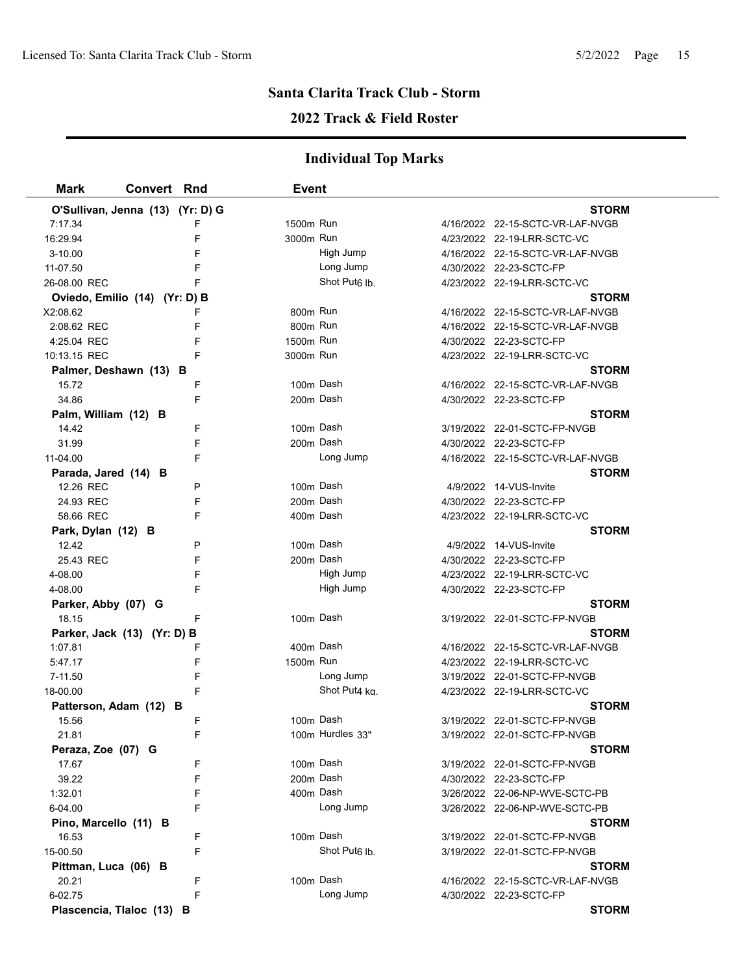### **2022 Track & Field Roster**

| Mark                             | <b>Convert Rnd</b> |        | <b>Event</b> |                           |                                  |  |
|----------------------------------|--------------------|--------|--------------|---------------------------|----------------------------------|--|
| O'Sullivan, Jenna (13) (Yr: D) G |                    |        |              |                           | <b>STORM</b>                     |  |
| 7:17.34                          |                    | F      | 1500m Run    |                           | 4/16/2022 22-15-SCTC-VR-LAF-NVGB |  |
| 16:29.94                         |                    | F      | 3000m Run    |                           | 4/23/2022 22-19-LRR-SCTC-VC      |  |
| 3-10.00                          |                    | F      |              | High Jump                 | 4/16/2022 22-15-SCTC-VR-LAF-NVGB |  |
| 11-07.50                         |                    | F      |              | Long Jump                 | 4/30/2022 22-23-SCTC-FP          |  |
| 26-08.00 REC                     |                    | F      |              | Shot Put <sub>6</sub> lb. | 4/23/2022 22-19-LRR-SCTC-VC      |  |
| Oviedo, Emilio (14) (Yr: D) B    |                    |        |              |                           | <b>STORM</b>                     |  |
| X2:08.62                         |                    | F      | 800m Run     |                           | 4/16/2022 22-15-SCTC-VR-LAF-NVGB |  |
| 2:08.62 REC                      |                    | F      | 800m Run     |                           | 4/16/2022 22-15-SCTC-VR-LAF-NVGB |  |
| 4:25.04 REC                      |                    | F      | 1500m Run    |                           | 4/30/2022 22-23-SCTC-FP          |  |
| 10:13.15 REC                     |                    | F      | 3000m Run    |                           | 4/23/2022 22-19-LRR-SCTC-VC      |  |
| Palmer, Deshawn (13) B           |                    |        |              |                           | <b>STORM</b>                     |  |
| 15.72                            |                    | F      | 100m Dash    |                           | 4/16/2022 22-15-SCTC-VR-LAF-NVGB |  |
| 34.86                            |                    | F      | 200m Dash    |                           | 4/30/2022 22-23-SCTC-FP          |  |
| Palm, William (12) B             |                    |        |              |                           | <b>STORM</b>                     |  |
| 14.42                            |                    | F      |              | 100m Dash                 | 3/19/2022 22-01-SCTC-FP-NVGB     |  |
| 31.99                            |                    | F      | 200m Dash    |                           | 4/30/2022 22-23-SCTC-FP          |  |
| 11-04.00                         |                    | F      |              | Long Jump                 | 4/16/2022 22-15-SCTC-VR-LAF-NVGB |  |
| Parada, Jared (14) B             |                    |        |              |                           | <b>STORM</b>                     |  |
| 12.26 REC                        |                    | P      | 100m Dash    |                           | 4/9/2022 14-VUS-Invite           |  |
| 24.93 REC                        |                    | F      | 200m Dash    |                           | 4/30/2022 22-23-SCTC-FP          |  |
| 58.66 REC                        |                    | F      | 400m Dash    |                           | 4/23/2022 22-19-LRR-SCTC-VC      |  |
| Park, Dylan (12) B               |                    |        |              |                           | <b>STORM</b>                     |  |
| 12.42                            |                    | P      | 100m Dash    |                           | 4/9/2022 14-VUS-Invite           |  |
| 25.43 REC                        |                    | F      | 200m Dash    |                           | 4/30/2022 22-23-SCTC-FP          |  |
| 4-08.00                          |                    | F      |              | High Jump                 | 4/23/2022 22-19-LRR-SCTC-VC      |  |
| 4-08.00                          |                    | F      |              | High Jump                 | 4/30/2022 22-23-SCTC-FP          |  |
| Parker, Abby (07) G              |                    |        |              |                           | <b>STORM</b>                     |  |
| 18.15                            |                    | F      |              | 100m Dash                 | 3/19/2022 22-01-SCTC-FP-NVGB     |  |
| Parker, Jack (13) (Yr: D) B      |                    |        |              |                           | <b>STORM</b>                     |  |
| 1:07.81                          |                    | F      | 400m Dash    |                           | 4/16/2022 22-15-SCTC-VR-LAF-NVGB |  |
| 5:47.17                          |                    | F      | 1500m Run    |                           | 4/23/2022 22-19-LRR-SCTC-VC      |  |
| 7-11.50                          |                    | F      |              | Long Jump                 | 3/19/2022 22-01-SCTC-FP-NVGB     |  |
| 18-00.00                         |                    | F      |              | Shot Put4 kg.             | 4/23/2022 22-19-LRR-SCTC-VC      |  |
| Patterson, Adam (12) B           |                    |        |              |                           | <b>STORM</b>                     |  |
| 15.56                            |                    | F      |              | 100m Dash                 | 3/19/2022 22-01-SCTC-FP-NVGB     |  |
| 21.81                            |                    | F      |              | 100m Hurdles 33"          | 3/19/2022 22-01-SCTC-FP-NVGB     |  |
| Peraza, Zoe (07) G               |                    |        |              |                           | <b>STORM</b>                     |  |
| 17.67                            |                    | F      |              | 100m Dash                 | 3/19/2022 22-01-SCTC-FP-NVGB     |  |
| 39.22                            |                    | F      | 200m Dash    |                           | 4/30/2022 22-23-SCTC-FP          |  |
| 1:32.01                          |                    | F      |              | 400m Dash                 | 3/26/2022 22-06-NP-WVE-SCTC-PB   |  |
| 6-04.00                          |                    | F      |              | Long Jump                 | 3/26/2022 22-06-NP-WVE-SCTC-PB   |  |
| Pino, Marcello (11) B            |                    |        |              | 100m Dash                 | <b>STORM</b>                     |  |
| 16.53                            |                    | F      |              |                           | 3/19/2022 22-01-SCTC-FP-NVGB     |  |
| 15-00.50                         |                    | F      |              | Shot Put <sub>6</sub> lb. | 3/19/2022 22-01-SCTC-FP-NVGB     |  |
| Pittman, Luca (06) B             |                    |        |              | 100m Dash                 | <b>STORM</b>                     |  |
| 20.21                            |                    | F<br>F |              | Long Jump                 | 4/16/2022 22-15-SCTC-VR-LAF-NVGB |  |
| 6-02.75                          |                    |        |              |                           | 4/30/2022 22-23-SCTC-FP          |  |
| Plascencia, Tlaloc (13) B        |                    |        |              |                           | <b>STORM</b>                     |  |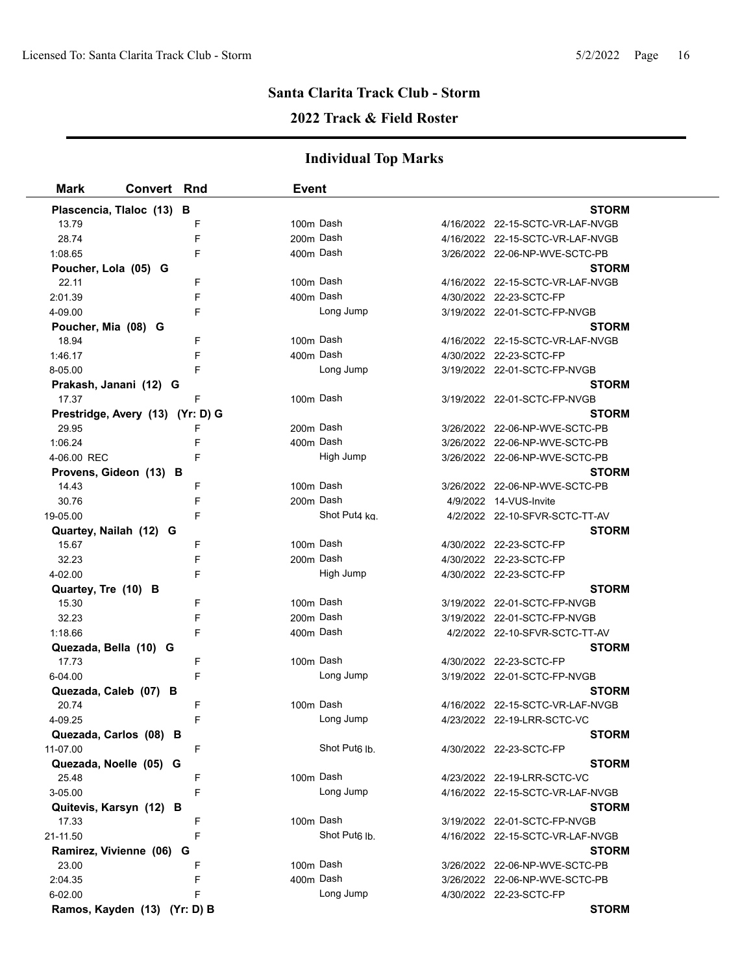# **2022 Track & Field Roster**

| <b>Mark</b>                      | <b>Convert Rnd</b> |   | Event |                           |                                  |
|----------------------------------|--------------------|---|-------|---------------------------|----------------------------------|
| Plascencia, Tlaloc (13) B        |                    |   |       |                           | <b>STORM</b>                     |
| 13.79                            |                    | F |       | 100m Dash                 | 4/16/2022 22-15-SCTC-VR-LAF-NVGB |
| 28.74                            |                    | F |       | 200m Dash                 | 4/16/2022 22-15-SCTC-VR-LAF-NVGB |
| 1:08.65                          |                    | F |       | 400m Dash                 | 3/26/2022 22-06-NP-WVE-SCTC-PB   |
| Poucher, Lola (05) G             |                    |   |       |                           | <b>STORM</b>                     |
| 22.11                            |                    | F |       | 100m Dash                 | 4/16/2022 22-15-SCTC-VR-LAF-NVGB |
| 2:01.39                          |                    | F |       | 400m Dash                 | 4/30/2022 22-23-SCTC-FP          |
| 4-09.00                          |                    | F |       | Long Jump                 | 3/19/2022 22-01-SCTC-FP-NVGB     |
| Poucher, Mia (08) G              |                    |   |       |                           | <b>STORM</b>                     |
| 18.94                            |                    | F |       | 100m Dash                 | 4/16/2022 22-15-SCTC-VR-LAF-NVGB |
| 1:46.17                          |                    | F |       | 400m Dash                 | 4/30/2022 22-23-SCTC-FP          |
| 8-05.00                          |                    | F |       | Long Jump                 | 3/19/2022 22-01-SCTC-FP-NVGB     |
| Prakash, Janani (12) G           |                    |   |       |                           | <b>STORM</b>                     |
| 17.37                            |                    | F |       | 100m Dash                 | 3/19/2022 22-01-SCTC-FP-NVGB     |
| Prestridge, Avery (13) (Yr: D) G |                    |   |       |                           | <b>STORM</b>                     |
| 29.95                            |                    | F |       | 200m Dash                 | 3/26/2022 22-06-NP-WVE-SCTC-PB   |
| 1:06.24                          |                    | F |       | 400m Dash                 | 3/26/2022 22-06-NP-WVE-SCTC-PB   |
| 4-06.00 REC                      |                    | F |       | High Jump                 | 3/26/2022 22-06-NP-WVE-SCTC-PB   |
| Provens, Gideon (13) B           |                    |   |       |                           | <b>STORM</b>                     |
| 14.43                            |                    | F |       | 100m Dash                 | 3/26/2022 22-06-NP-WVE-SCTC-PB   |
| 30.76                            |                    | F |       | 200m Dash                 | 4/9/2022 14-VUS-Invite           |
| 19-05.00                         |                    | F |       | Shot Put4 kg              | 4/2/2022 22-10-SFVR-SCTC-TT-AV   |
| Quartey, Nailah (12) G           |                    |   |       |                           | <b>STORM</b>                     |
| 15.67                            |                    | F |       | 100m Dash                 | 4/30/2022 22-23-SCTC-FP          |
| 32.23                            |                    | F |       | 200m Dash                 | 4/30/2022 22-23-SCTC-FP          |
| 4-02.00                          |                    | F |       | High Jump                 | 4/30/2022 22-23-SCTC-FP          |
| Quartey, Tre (10) B              |                    |   |       |                           | <b>STORM</b>                     |
| 15.30                            |                    | F |       | 100m Dash                 | 3/19/2022 22-01-SCTC-FP-NVGB     |
| 32.23                            |                    | F |       | 200m Dash                 | 3/19/2022 22-01-SCTC-FP-NVGB     |
| 1:18.66                          |                    | F |       | 400m Dash                 | 4/2/2022 22-10-SFVR-SCTC-TT-AV   |
| Quezada, Bella (10) G            |                    |   |       |                           | <b>STORM</b>                     |
| 17.73                            |                    | F |       | 100m Dash                 | 4/30/2022 22-23-SCTC-FP          |
| 6-04.00                          |                    | F |       | Long Jump                 | 3/19/2022 22-01-SCTC-FP-NVGB     |
| Quezada, Caleb (07) B            |                    |   |       |                           | <b>STORM</b>                     |
| 20.74                            |                    | F |       | 100m Dash                 | 4/16/2022 22-15-SCTC-VR-LAF-NVGB |
| 4-09.25                          |                    |   |       | Long Jump                 | 4/23/2022 22-19-LRR-SCTC-VC      |
| Quezada, Carlos (08) B           |                    |   |       |                           | <b>STORM</b>                     |
| 11-07.00                         |                    | F |       | Shot Put <sub>6</sub> lb. | 4/30/2022 22-23-SCTC-FP          |
| Quezada, Noelle (05) G           |                    |   |       |                           | <b>STORM</b>                     |
| 25.48                            |                    | F |       | 100m Dash                 | 4/23/2022 22-19-LRR-SCTC-VC      |
| 3-05.00                          |                    | F |       | Long Jump                 | 4/16/2022 22-15-SCTC-VR-LAF-NVGB |
| Quitevis, Karsyn (12) B          |                    |   |       |                           | <b>STORM</b>                     |
| 17.33                            |                    | F |       | 100m Dash                 | 3/19/2022 22-01-SCTC-FP-NVGB     |
| 21-11.50                         |                    | F |       | Shot Put <sub>6</sub> lb. | 4/16/2022 22-15-SCTC-VR-LAF-NVGB |
| Ramirez, Vivienne (06) G         |                    |   |       |                           | <b>STORM</b>                     |
| 23.00                            |                    | F |       | 100m Dash                 | 3/26/2022 22-06-NP-WVE-SCTC-PB   |
| 2:04.35                          |                    | F |       | 400m Dash                 | 3/26/2022 22-06-NP-WVE-SCTC-PB   |
| 6-02.00                          |                    | F |       | Long Jump                 | 4/30/2022 22-23-SCTC-FP          |
| Ramos, Kayden (13) (Yr: D) B     |                    |   |       |                           | <b>STORM</b>                     |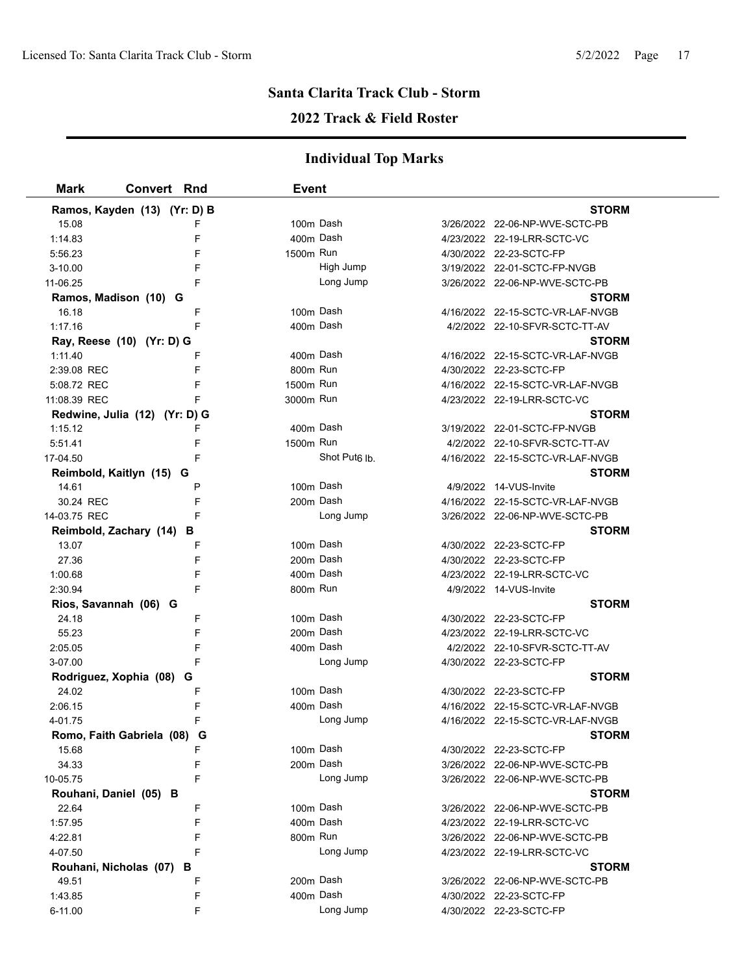### **2022 Track & Field Roster**

| Mark                   | <b>Convert Rnd</b>            | <b>Event</b> |                           |                                  |
|------------------------|-------------------------------|--------------|---------------------------|----------------------------------|
|                        | Ramos, Kayden (13) (Yr: D) B  |              |                           | <b>STORM</b>                     |
| 15.08                  | F                             | 100m Dash    |                           | 3/26/2022 22-06-NP-WVE-SCTC-PB   |
| 1:14.83                | F                             | 400m Dash    |                           | 4/23/2022 22-19-LRR-SCTC-VC      |
| 5:56.23                | F                             | 1500m Run    |                           | 4/30/2022 22-23-SCTC-FP          |
| $3 - 10.00$            | F                             |              | High Jump                 | 3/19/2022 22-01-SCTC-FP-NVGB     |
| 11-06.25               | F                             |              | Long Jump                 | 3/26/2022 22-06-NP-WVE-SCTC-PB   |
|                        | Ramos, Madison (10) G         |              |                           | <b>STORM</b>                     |
| 16.18                  | F                             | 100m Dash    |                           | 4/16/2022 22-15-SCTC-VR-LAF-NVGB |
| 1:17.16                | F                             | 400m Dash    |                           | 4/2/2022 22-10-SFVR-SCTC-TT-AV   |
|                        | Ray, Reese (10) (Yr: D) G     |              |                           | <b>STORM</b>                     |
| 1:11.40                | F                             | 400m Dash    |                           | 4/16/2022 22-15-SCTC-VR-LAF-NVGB |
| 2:39.08 REC            | F                             | 800m Run     |                           | 4/30/2022 22-23-SCTC-FP          |
| 5:08.72 REC            | F                             | 1500m Run    |                           | 4/16/2022 22-15-SCTC-VR-LAF-NVGB |
| 11:08.39 REC           | F                             | 3000m Run    |                           | 4/23/2022 22-19-LRR-SCTC-VC      |
|                        | Redwine, Julia (12) (Yr: D) G |              |                           | <b>STORM</b>                     |
| 1:15.12                | F                             | 400m Dash    |                           | 3/19/2022 22-01-SCTC-FP-NVGB     |
| 5:51.41                | F                             | 1500m Run    |                           | 4/2/2022 22-10-SFVR-SCTC-TT-AV   |
| 17-04.50               | F                             |              | Shot Put <sub>6</sub> lb. | 4/16/2022 22-15-SCTC-VR-LAF-NVGB |
|                        | Reimbold, Kaitlyn (15) G      |              |                           | <b>STORM</b>                     |
| 14.61                  | P                             | 100m Dash    |                           | 4/9/2022 14-VUS-Invite           |
| 30.24 REC              | F                             | 200m Dash    |                           | 4/16/2022 22-15-SCTC-VR-LAF-NVGB |
| 14-03.75 REC           | F                             |              | Long Jump                 | 3/26/2022 22-06-NP-WVE-SCTC-PB   |
|                        | Reimbold, Zachary (14) B      |              |                           | <b>STORM</b>                     |
| 13.07                  | F                             | 100m Dash    |                           | 4/30/2022 22-23-SCTC-FP          |
| 27.36                  | F                             | 200m Dash    |                           | 4/30/2022 22-23-SCTC-FP          |
| 1:00.68                | F                             | 400m Dash    |                           | 4/23/2022 22-19-LRR-SCTC-VC      |
| 2:30.94                | F                             | 800m Run     |                           | 4/9/2022 14-VUS-Invite           |
| Rios, Savannah (06) G  |                               |              |                           | <b>STORM</b>                     |
| 24.18                  | F                             | 100m Dash    |                           | 4/30/2022 22-23-SCTC-FP          |
| 55.23                  | F                             | 200m Dash    |                           | 4/23/2022 22-19-LRR-SCTC-VC      |
| 2:05.05                | F                             | 400m Dash    |                           | 4/2/2022 22-10-SFVR-SCTC-TT-AV   |
| 3-07.00                | F                             |              | Long Jump                 | 4/30/2022 22-23-SCTC-FP          |
|                        | Rodriguez, Xophia (08) G      |              |                           | <b>STORM</b>                     |
| 24.02                  | F                             | 100m Dash    |                           | 4/30/2022 22-23-SCTC-FP          |
| 2:06.15                | F                             | 400m Dash    |                           | 4/16/2022 22-15-SCTC-VR-LAF-NVGB |
| 4-01.75                |                               |              | Long Jump                 | 4/16/2022 22-15-SCTC-VR-LAF-NVGB |
|                        | Romo, Faith Gabriela (08) G   |              |                           | <b>STORM</b>                     |
| 15.68                  | F.                            | 100m Dash    |                           | 4/30/2022 22-23-SCTC-FP          |
| 34.33                  | F                             | 200m Dash    |                           | 3/26/2022 22-06-NP-WVE-SCTC-PB   |
| 10-05.75               | F                             |              | Long Jump                 | 3/26/2022 22-06-NP-WVE-SCTC-PB   |
|                        | Rouhani, Daniel (05) B        |              |                           | <b>STORM</b>                     |
| 22.64                  | F                             | 100m Dash    |                           | 3/26/2022 22-06-NP-WVE-SCTC-PB   |
| 1:57.95                | F                             | 400m Dash    |                           | 4/23/2022 22-19-LRR-SCTC-VC      |
| 4:22.81                | F                             | 800m Run     |                           | 3/26/2022 22-06-NP-WVE-SCTC-PB   |
| 4-07.50                | F                             |              | Long Jump                 | 4/23/2022 22-19-LRR-SCTC-VC      |
| Rouhani, Nicholas (07) | в                             |              |                           | <b>STORM</b>                     |
| 49.51                  | F                             | 200m Dash    |                           | 3/26/2022 22-06-NP-WVE-SCTC-PB   |
| 1:43.85                | F                             | 400m Dash    |                           | 4/30/2022 22-23-SCTC-FP          |
| 6-11.00                | F                             |              | Long Jump                 | 4/30/2022 22-23-SCTC-FP          |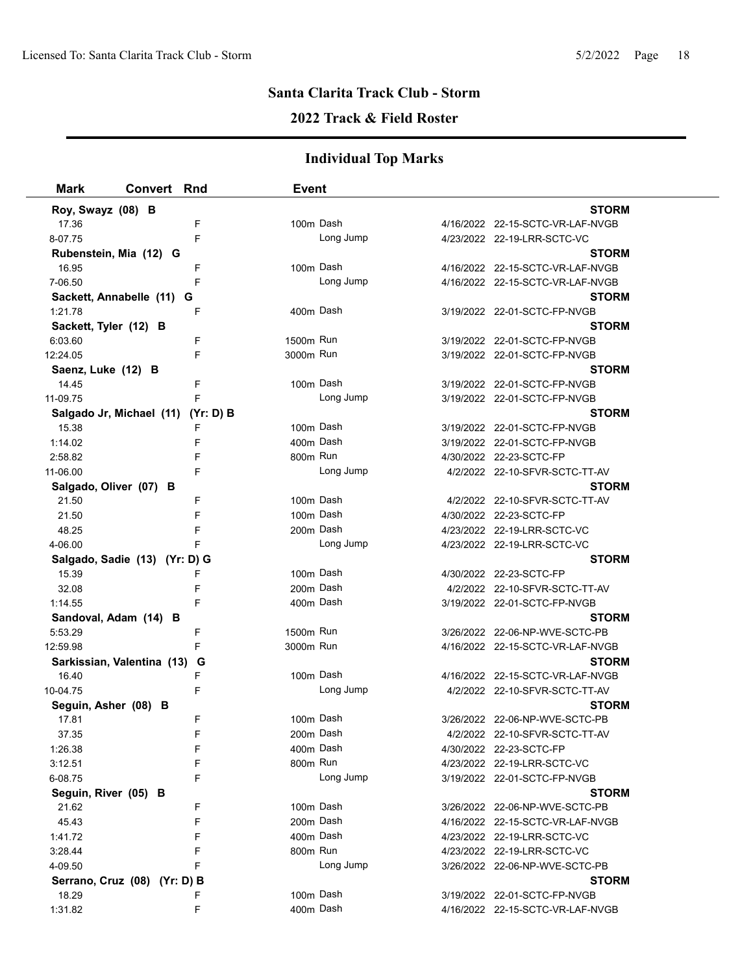### **2022 Track & Field Roster**

| <b>Mark</b>            | <b>Convert Rnd</b>                 | <b>Event</b> |           |                                  |  |
|------------------------|------------------------------------|--------------|-----------|----------------------------------|--|
| Roy, Swayz (08) B      |                                    |              |           | <b>STORM</b>                     |  |
| 17.36                  | F                                  |              | 100m Dash | 4/16/2022 22-15-SCTC-VR-LAF-NVGB |  |
| 8-07.75                | F                                  |              | Long Jump | 4/23/2022 22-19-LRR-SCTC-VC      |  |
|                        | Rubenstein, Mia (12) G             |              |           | <b>STORM</b>                     |  |
| 16.95                  | F                                  |              | 100m Dash | 4/16/2022 22-15-SCTC-VR-LAF-NVGB |  |
| 7-06.50                | F                                  |              | Long Jump | 4/16/2022 22-15-SCTC-VR-LAF-NVGB |  |
|                        | Sackett, Annabelle (11)<br>G       |              |           | <b>STORM</b>                     |  |
| 1:21.78                | F                                  |              | 400m Dash | 3/19/2022 22-01-SCTC-FP-NVGB     |  |
| Sackett, Tyler (12) B  |                                    |              |           | <b>STORM</b>                     |  |
| 6:03.60                | F                                  | 1500m Run    |           | 3/19/2022 22-01-SCTC-FP-NVGB     |  |
| 12:24.05               | F                                  | 3000m Run    |           | 3/19/2022 22-01-SCTC-FP-NVGB     |  |
| Saenz, Luke (12) B     |                                    |              |           | <b>STORM</b>                     |  |
| 14.45                  | F                                  |              | 100m Dash | 3/19/2022 22-01-SCTC-FP-NVGB     |  |
| 11-09.75               | F                                  |              | Long Jump | 3/19/2022 22-01-SCTC-FP-NVGB     |  |
|                        | Salgado Jr, Michael (11) (Yr: D) B |              |           | <b>STORM</b>                     |  |
| 15.38                  | F                                  |              | 100m Dash | 3/19/2022 22-01-SCTC-FP-NVGB     |  |
| 1:14.02                | F                                  |              | 400m Dash | 3/19/2022 22-01-SCTC-FP-NVGB     |  |
| 2:58.82                | F                                  | 800m Run     |           | 4/30/2022 22-23-SCTC-FP          |  |
| 11-06.00               | F                                  |              | Long Jump | 4/2/2022 22-10-SFVR-SCTC-TT-AV   |  |
| Salgado, Oliver (07) B |                                    |              |           | <b>STORM</b>                     |  |
| 21.50                  | F                                  |              | 100m Dash | 4/2/2022 22-10-SFVR-SCTC-TT-AV   |  |
| 21.50                  | F                                  |              | 100m Dash | 4/30/2022 22-23-SCTC-FP          |  |
| 48.25                  | F                                  |              | 200m Dash | 4/23/2022 22-19-LRR-SCTC-VC      |  |
| 4-06.00                | F                                  |              | Long Jump | 4/23/2022 22-19-LRR-SCTC-VC      |  |
|                        | Salgado, Sadie (13) (Yr: D) G      |              |           | <b>STORM</b>                     |  |
| 15.39                  | F                                  |              | 100m Dash | 4/30/2022 22-23-SCTC-FP          |  |
| 32.08                  | F                                  |              | 200m Dash | 4/2/2022 22-10-SFVR-SCTC-TT-AV   |  |
| 1:14.55                | F                                  |              | 400m Dash | 3/19/2022 22-01-SCTC-FP-NVGB     |  |
|                        | Sandoval, Adam (14) B              |              |           | <b>STORM</b>                     |  |
| 5:53.29                | F                                  | 1500m Run    |           | 3/26/2022 22-06-NP-WVE-SCTC-PB   |  |
| 12:59.98               | F                                  | 3000m Run    |           | 4/16/2022 22-15-SCTC-VR-LAF-NVGB |  |
|                        | Sarkissian, Valentina (13)<br>G    |              |           | <b>STORM</b>                     |  |
| 16.40                  | F                                  |              | 100m Dash | 4/16/2022 22-15-SCTC-VR-LAF-NVGB |  |
| 10-04.75               | F                                  |              | Long Jump | 4/2/2022 22-10-SFVR-SCTC-TT-AV   |  |
| Seguin, Asher (08) B   |                                    |              |           | <b>STORM</b>                     |  |
| 17.81                  | F                                  |              | 100m Dash | 3/26/2022 22-06-NP-WVE-SCTC-PB   |  |
| 37.35                  | F                                  |              | 200m Dash | 4/2/2022 22-10-SFVR-SCTC-TT-AV   |  |
| 1:26.38                | F                                  |              | 400m Dash | 4/30/2022 22-23-SCTC-FP          |  |
| 3:12.51                | F                                  | 800m Run     |           | 4/23/2022 22-19-LRR-SCTC-VC      |  |
| 6-08.75                | F                                  |              | Long Jump | 3/19/2022 22-01-SCTC-FP-NVGB     |  |
| Seguin, River (05) B   |                                    |              |           | <b>STORM</b>                     |  |
| 21.62                  | F                                  |              | 100m Dash | 3/26/2022 22-06-NP-WVE-SCTC-PB   |  |
| 45.43                  | F                                  |              | 200m Dash | 4/16/2022 22-15-SCTC-VR-LAF-NVGB |  |
| 1.41.72                | F                                  |              | 400m Dash | 4/23/2022 22-19-LRR-SCTC-VC      |  |
| 3:28.44                | F                                  | 800m Run     |           | 4/23/2022 22-19-LRR-SCTC-VC      |  |
| 4-09.50                | F                                  |              | Long Jump | 3/26/2022 22-06-NP-WVE-SCTC-PB   |  |
|                        | Serrano, Cruz (08) (Yr: D) B       |              |           | <b>STORM</b>                     |  |
| 18.29                  | F                                  |              | 100m Dash | 3/19/2022 22-01-SCTC-FP-NVGB     |  |
| 1:31.82                | F                                  |              | 400m Dash | 4/16/2022 22-15-SCTC-VR-LAF-NVGB |  |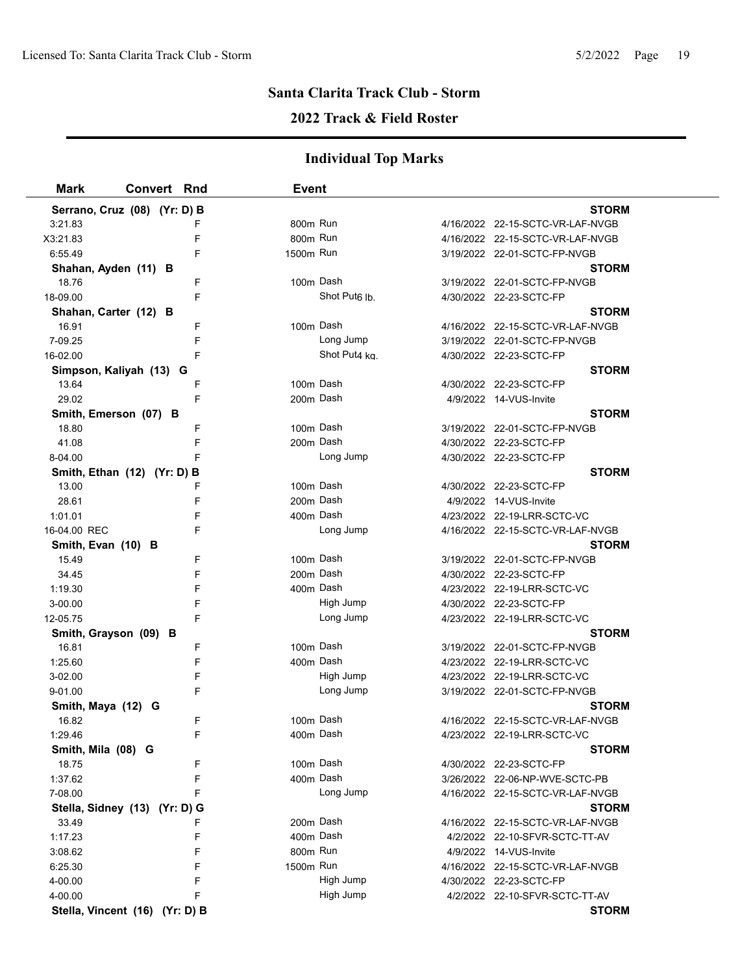### **2022 Track & Field Roster**

| <b>Mark</b>           | Convert Rnd                    | Event                |                           |                                  |
|-----------------------|--------------------------------|----------------------|---------------------------|----------------------------------|
|                       | Serrano, Cruz (08) (Yr: D) B   |                      |                           | <b>STORM</b>                     |
| 3:21.83               | F                              | 800m Run             |                           | 4/16/2022 22-15-SCTC-VR-LAF-NVGB |
| X3:21.83              | F                              | 800 <sub>m</sub> Run |                           | 4/16/2022 22-15-SCTC-VR-LAF-NVGB |
| 6:55.49               | F                              | 1500m Run            |                           | 3/19/2022 22-01-SCTC-FP-NVGB     |
| Shahan, Ayden (11) B  |                                |                      |                           | <b>STORM</b>                     |
| 18.76                 | F                              | 100m Dash            |                           | 3/19/2022 22-01-SCTC-FP-NVGB     |
| 18-09.00              | F                              |                      | Shot Put <sub>6</sub> lb. | 4/30/2022 22-23-SCTC-FP          |
| Shahan, Carter (12) B |                                |                      |                           | <b>STORM</b>                     |
| 16.91                 | F                              | 100m Dash            |                           | 4/16/2022 22-15-SCTC-VR-LAF-NVGB |
| 7-09.25               | F                              |                      | Long Jump                 | 3/19/2022 22-01-SCTC-FP-NVGB     |
| 16-02.00              | F                              |                      | Shot Put4 kg.             | 4/30/2022 22-23-SCTC-FP          |
|                       | Simpson, Kaliyah (13) G        |                      |                           | <b>STORM</b>                     |
| 13.64                 | F                              | 100m Dash            |                           | 4/30/2022 22-23-SCTC-FP          |
| 29.02                 | F                              | 200m Dash            |                           | 4/9/2022 14-VUS-Invite           |
| Smith, Emerson (07) B |                                |                      |                           | <b>STORM</b>                     |
| 18.80                 | F                              | 100m Dash            |                           | 3/19/2022 22-01-SCTC-FP-NVGB     |
| 41.08                 | F                              | 200m Dash            |                           | 4/30/2022 22-23-SCTC-FP          |
| 8-04.00               | F                              |                      | Long Jump                 | 4/30/2022 22-23-SCTC-FP          |
|                       | Smith, Ethan (12) (Yr: D) B    |                      |                           | <b>STORM</b>                     |
| 13.00                 | F                              | 100m Dash            |                           | 4/30/2022 22-23-SCTC-FP          |
| 28.61                 | F                              | 200m Dash            |                           | 4/9/2022 14-VUS-Invite           |
| 1:01.01               | F                              | 400m Dash            |                           | 4/23/2022 22-19-LRR-SCTC-VC      |
| 16-04.00 REC          | F                              |                      | Long Jump                 | 4/16/2022 22-15-SCTC-VR-LAF-NVGB |
| Smith, Evan (10) B    |                                |                      |                           | <b>STORM</b>                     |
| 15.49                 | F                              | 100m Dash            |                           | 3/19/2022 22-01-SCTC-FP-NVGB     |
| 34.45                 | F                              | 200m Dash            |                           | 4/30/2022 22-23-SCTC-FP          |
| 1:19.30               | F                              | 400m Dash            |                           | 4/23/2022 22-19-LRR-SCTC-VC      |
| 3-00.00               | F                              |                      | High Jump                 | 4/30/2022 22-23-SCTC-FP          |
| 12-05.75              | F                              |                      | Long Jump                 | 4/23/2022 22-19-LRR-SCTC-VC      |
| Smith, Grayson (09) B |                                |                      |                           | <b>STORM</b>                     |
| 16.81                 | F                              | 100m Dash            |                           | 3/19/2022 22-01-SCTC-FP-NVGB     |
| 1:25.60               | F                              | 400m Dash            |                           | 4/23/2022 22-19-LRR-SCTC-VC      |
| 3-02.00               | F                              |                      | High Jump                 | 4/23/2022 22-19-LRR-SCTC-VC      |
| 9-01.00               | F                              |                      | Long Jump                 | 3/19/2022 22-01-SCTC-FP-NVGB     |
| Smith, Maya (12) G    |                                |                      |                           | <b>STORM</b>                     |
| 16.82                 | F                              | 100m Dash            |                           | 4/16/2022 22-15-SCTC-VR-LAF-NVGB |
| 1:29.46               | F                              | 400m Dash            |                           | 4/23/2022 22-19-LRR-SCTC-VC      |
| Smith, Mila (08) G    |                                |                      |                           | <b>STORM</b>                     |
| 18.75                 | F                              | 100m Dash            |                           | 4/30/2022 22-23-SCTC-FP          |
| 1:37.62               | F                              | 400m Dash            |                           | 3/26/2022 22-06-NP-WVE-SCTC-PB   |
| 7-08.00               | F                              |                      | Long Jump                 | 4/16/2022 22-15-SCTC-VR-LAF-NVGB |
|                       | Stella, Sidney (13) (Yr: D) G  |                      |                           | <b>STORM</b>                     |
| 33.49                 | F                              | 200m Dash            |                           | 4/16/2022 22-15-SCTC-VR-LAF-NVGB |
| 1:17.23               | F                              | 400m Dash            |                           | 4/2/2022 22-10-SFVR-SCTC-TT-AV   |
| 3:08.62               | F                              | 800m Run             |                           | 4/9/2022 14-VUS-Invite           |
| 6:25.30               | F                              | 1500m Run            |                           | 4/16/2022 22-15-SCTC-VR-LAF-NVGB |
| 4-00.00               | F                              |                      | High Jump                 | 4/30/2022 22-23-SCTC-FP          |
| 4-00.00               | F                              |                      | High Jump                 | 4/2/2022 22-10-SFVR-SCTC-TT-AV   |
|                       | Stella, Vincent (16) (Yr: D) B |                      |                           | <b>STORM</b>                     |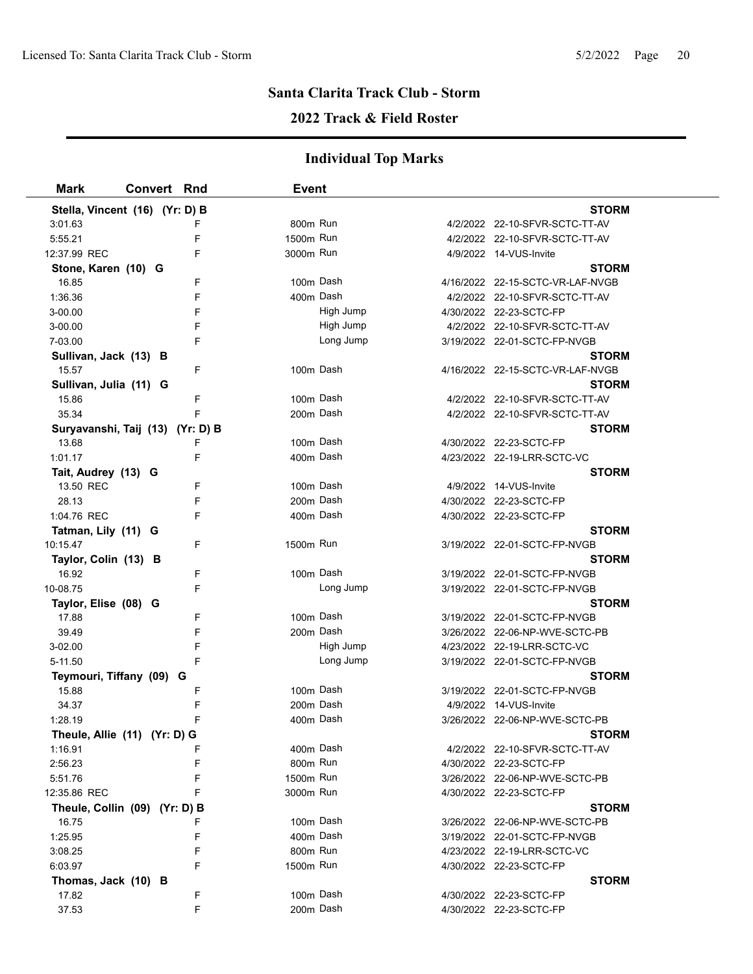### **2022 Track & Field Roster**

| <b>Mark</b>                      | <b>Convert Rnd</b> |   | <b>Event</b> |           |                                  |  |
|----------------------------------|--------------------|---|--------------|-----------|----------------------------------|--|
| Stella, Vincent (16) (Yr: D) B   |                    |   |              |           | <b>STORM</b>                     |  |
| 3:01.63                          |                    |   | 800m Run     |           | 4/2/2022 22-10-SFVR-SCTC-TT-AV   |  |
| 5:55.21                          |                    | F | 1500m Run    |           | 4/2/2022 22-10-SFVR-SCTC-TT-AV   |  |
| 12:37.99 REC                     |                    | F | 3000m Run    |           | 4/9/2022 14-VUS-Invite           |  |
| Stone, Karen (10) G              |                    |   |              |           | <b>STORM</b>                     |  |
| 16.85                            |                    | F |              | 100m Dash | 4/16/2022 22-15-SCTC-VR-LAF-NVGB |  |
| 1:36.36                          |                    | F | 400m Dash    |           | 4/2/2022 22-10-SFVR-SCTC-TT-AV   |  |
| 3-00.00                          |                    | F |              | High Jump | 4/30/2022 22-23-SCTC-FP          |  |
| 3-00.00                          |                    | F |              | High Jump | 4/2/2022 22-10-SFVR-SCTC-TT-AV   |  |
| 7-03.00                          |                    | F |              | Long Jump | 3/19/2022 22-01-SCTC-FP-NVGB     |  |
| Sullivan, Jack (13) B            |                    |   |              |           | <b>STORM</b>                     |  |
| 15.57                            |                    | F |              | 100m Dash | 4/16/2022 22-15-SCTC-VR-LAF-NVGB |  |
| Sullivan, Julia (11) G           |                    |   |              |           | <b>STORM</b>                     |  |
| 15.86                            |                    | F | 100m Dash    |           | 4/2/2022 22-10-SFVR-SCTC-TT-AV   |  |
| 35.34                            |                    | F | 200m Dash    |           | 4/2/2022 22-10-SFVR-SCTC-TT-AV   |  |
| Suryavanshi, Taij (13) (Yr: D) B |                    |   |              |           | <b>STORM</b>                     |  |
| 13.68                            |                    | F | 100m Dash    |           | 4/30/2022 22-23-SCTC-FP          |  |
| 1:01.17                          |                    | F |              | 400m Dash | 4/23/2022 22-19-LRR-SCTC-VC      |  |
| Tait, Audrey (13) G              |                    |   |              |           | <b>STORM</b>                     |  |
| 13.50 REC                        |                    | F | 100m Dash    |           | 4/9/2022 14-VUS-Invite           |  |
| 28.13                            |                    | F | 200m Dash    |           | 4/30/2022 22-23-SCTC-FP          |  |
| 1:04.76 REC                      |                    | F | 400m Dash    |           | 4/30/2022 22-23-SCTC-FP          |  |
| Tatman, Lily (11) G              |                    |   |              |           | <b>STORM</b>                     |  |
| 10:15.47                         |                    | F | 1500m Run    |           | 3/19/2022 22-01-SCTC-FP-NVGB     |  |
| Taylor, Colin (13) B             |                    |   |              |           | <b>STORM</b>                     |  |
| 16.92                            |                    | F | 100m Dash    |           | 3/19/2022 22-01-SCTC-FP-NVGB     |  |
| 10-08.75                         |                    | F |              | Long Jump | 3/19/2022 22-01-SCTC-FP-NVGB     |  |
| Taylor, Elise (08) G             |                    |   |              |           | <b>STORM</b>                     |  |
| 17.88                            |                    | F | 100m Dash    |           | 3/19/2022 22-01-SCTC-FP-NVGB     |  |
| 39.49                            |                    | F | 200m Dash    |           | 3/26/2022 22-06-NP-WVE-SCTC-PB   |  |
| 3-02.00                          |                    | F |              | High Jump | 4/23/2022 22-19-LRR-SCTC-VC      |  |
| 5-11.50                          |                    | F |              | Long Jump | 3/19/2022 22-01-SCTC-FP-NVGB     |  |
| Teymouri, Tiffany (09) G         |                    |   |              |           | <b>STORM</b>                     |  |
| 15.88                            |                    | F |              | 100m Dash | 3/19/2022 22-01-SCTC-FP-NVGB     |  |
| 34.37                            |                    |   | 200m Dash    |           | 4/9/2022 14-VUS-Invite           |  |
| 1:28.19                          |                    |   |              | 400m Dash | 3/26/2022 22-06-NP-WVE-SCTC-PB   |  |
| Theule, Allie (11) (Yr: D) G     |                    |   |              |           | <b>STORM</b>                     |  |
| 1:16.91                          |                    | F | 400m Dash    |           | 4/2/2022 22-10-SFVR-SCTC-TT-AV   |  |
| 2:56.23                          |                    |   | 800m Run     |           | 4/30/2022 22-23-SCTC-FP          |  |
| 5:51.76                          |                    | F | 1500m Run    |           | 3/26/2022 22-06-NP-WVE-SCTC-PB   |  |
| 12:35.86 REC                     |                    |   | 3000m Run    |           | 4/30/2022 22-23-SCTC-FP          |  |
| Theule, Collin (09) (Yr: D) B    |                    |   |              |           | <b>STORM</b>                     |  |
| 16.75                            |                    |   |              | 100m Dash | 3/26/2022 22-06-NP-WVE-SCTC-PB   |  |
| 1:25.95                          |                    |   | 400m Dash    |           | 3/19/2022 22-01-SCTC-FP-NVGB     |  |
| 3:08.25                          |                    |   | 800m Run     |           | 4/23/2022 22-19-LRR-SCTC-VC      |  |
| 6:03.97                          |                    | F | 1500m Run    |           | 4/30/2022 22-23-SCTC-FP          |  |
| Thomas, Jack (10) B              |                    |   |              |           | <b>STORM</b>                     |  |
| 17.82                            |                    | F | 100m Dash    |           | 4/30/2022 22-23-SCTC-FP          |  |
| 37.53                            |                    | F |              | 200m Dash | 4/30/2022 22-23-SCTC-FP          |  |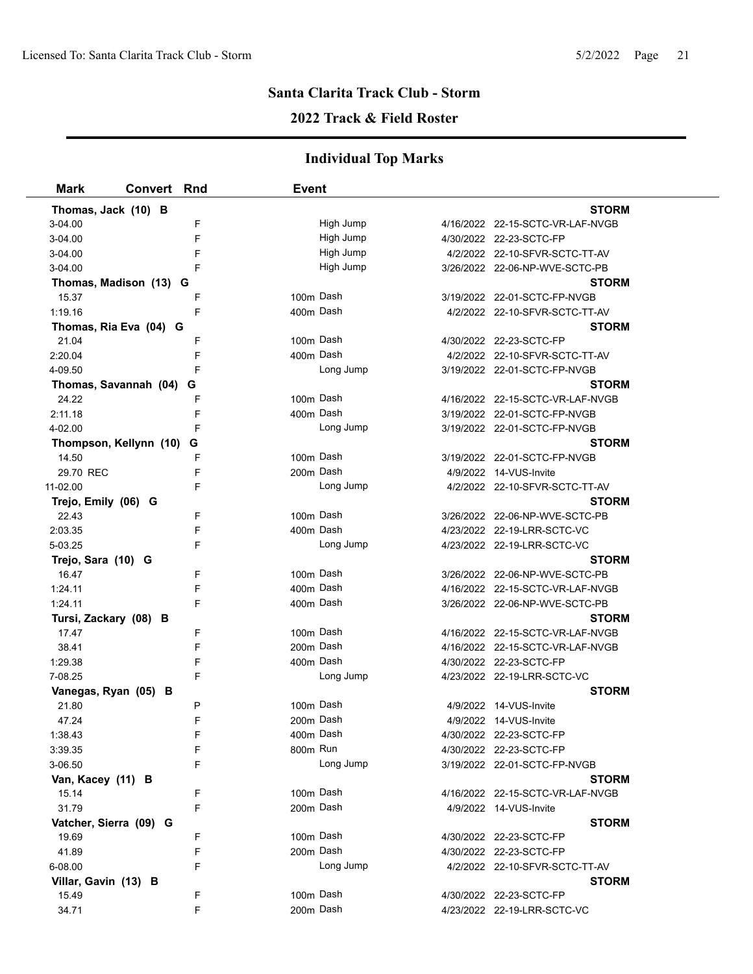### **2022 Track & Field Roster**

| <b>Mark</b>            | <b>Convert Rnd</b>     | <b>Event</b> |           |                                  |
|------------------------|------------------------|--------------|-----------|----------------------------------|
| Thomas, Jack (10) B    |                        |              |           | <b>STORM</b>                     |
| 3-04.00                | F                      |              | High Jump | 4/16/2022 22-15-SCTC-VR-LAF-NVGB |
| 3-04.00                | F                      |              | High Jump | 4/30/2022 22-23-SCTC-FP          |
| 3-04.00                | F                      |              | High Jump | 4/2/2022 22-10-SFVR-SCTC-TT-AV   |
| 3-04.00                | F                      |              | High Jump | 3/26/2022 22-06-NP-WVE-SCTC-PB   |
|                        | Thomas, Madison (13) G |              |           | <b>STORM</b>                     |
| 15.37                  | F                      | 100m Dash    |           | 3/19/2022 22-01-SCTC-FP-NVGB     |
| 1:19.16                | F                      | 400m Dash    |           | 4/2/2022 22-10-SFVR-SCTC-TT-AV   |
|                        | Thomas, Ria Eva (04) G |              |           | <b>STORM</b>                     |
| 21.04                  | F                      | 100m Dash    |           | 4/30/2022 22-23-SCTC-FP          |
| 2:20.04                | F                      | 400m Dash    |           | 4/2/2022 22-10-SFVR-SCTC-TT-AV   |
| 4-09.50                | F                      |              | Long Jump | 3/19/2022 22-01-SCTC-FP-NVGB     |
| Thomas, Savannah (04)  | G                      |              |           | <b>STORM</b>                     |
| 24.22                  | F                      | 100m Dash    |           | 4/16/2022 22-15-SCTC-VR-LAF-NVGB |
| 2:11.18                | F                      | 400m Dash    |           | 3/19/2022 22-01-SCTC-FP-NVGB     |
| 4-02.00                | F                      |              | Long Jump | 3/19/2022 22-01-SCTC-FP-NVGB     |
| Thompson, Kellynn (10) | G                      |              |           | STORM                            |
| 14.50                  | F                      | 100m Dash    |           | 3/19/2022 22-01-SCTC-FP-NVGB     |
| 29.70 REC              | F                      | 200m Dash    |           | 4/9/2022 14-VUS-Invite           |
| 11-02.00               | F                      |              | Long Jump | 4/2/2022 22-10-SFVR-SCTC-TT-AV   |
| Trejo, Emily (06) G    |                        |              |           | STORM                            |
| 22.43                  | F                      | 100m Dash    |           | 3/26/2022 22-06-NP-WVE-SCTC-PB   |
| 2:03.35                | F                      | 400m Dash    |           | 4/23/2022 22-19-LRR-SCTC-VC      |
| 5-03.25                | F                      |              | Long Jump | 4/23/2022 22-19-LRR-SCTC-VC      |
| Trejo, Sara (10) G     |                        |              |           | <b>STORM</b>                     |
| 16.47                  | F                      | 100m Dash    |           | 3/26/2022 22-06-NP-WVE-SCTC-PB   |
| 1:24.11                | F                      | 400m Dash    |           | 4/16/2022 22-15-SCTC-VR-LAF-NVGB |
| 1:24.11                | F                      | 400m Dash    |           | 3/26/2022 22-06-NP-WVE-SCTC-PB   |
| Tursi, Zackary (08) B  |                        |              |           | <b>STORM</b>                     |
| 17.47                  | F                      | 100m Dash    |           | 4/16/2022 22-15-SCTC-VR-LAF-NVGB |
| 38.41                  | F                      | 200m Dash    |           | 4/16/2022 22-15-SCTC-VR-LAF-NVGB |
| 1:29.38                | F                      | 400m Dash    |           | 4/30/2022 22-23-SCTC-FP          |
| 7-08.25                | F                      |              | Long Jump | 4/23/2022 22-19-LRR-SCTC-VC      |
| Vanegas, Ryan (05) B   |                        |              |           | <b>STORM</b>                     |
| 21.80                  | P                      | 100m Dash    |           | 4/9/2022 14-VUS-Invite           |
| 47.24                  | F                      | 200m Dash    |           | 4/9/2022 14-VUS-Invite           |
| 1:38.43                | F                      | 400m Dash    |           | 4/30/2022 22-23-SCTC-FP          |
| 3:39.35                | F                      | 800m Run     |           | 4/30/2022 22-23-SCTC-FP          |
| 3-06.50                | F                      |              | Long Jump | 3/19/2022 22-01-SCTC-FP-NVGB     |
| Van, Kacey (11) B      |                        |              |           | <b>STORM</b>                     |
| 15.14                  | F                      | 100m Dash    |           | 4/16/2022 22-15-SCTC-VR-LAF-NVGB |
| 31.79                  | F                      | 200m Dash    |           | 4/9/2022 14-VUS-Invite           |
| Vatcher, Sierra (09) G |                        |              |           | <b>STORM</b>                     |
| 19.69                  | F                      | 100m Dash    |           | 4/30/2022 22-23-SCTC-FP          |
| 41.89                  | F                      | 200m Dash    |           | 4/30/2022 22-23-SCTC-FP          |
| 6-08.00                | F                      |              | Long Jump | 4/2/2022 22-10-SFVR-SCTC-TT-AV   |
| Villar, Gavin (13) B   |                        | 100m Dash    |           | <b>STORM</b>                     |
| 15.49                  | F                      |              |           | 4/30/2022 22-23-SCTC-FP          |
| 34.71                  | F                      | 200m Dash    |           | 4/23/2022 22-19-LRR-SCTC-VC      |